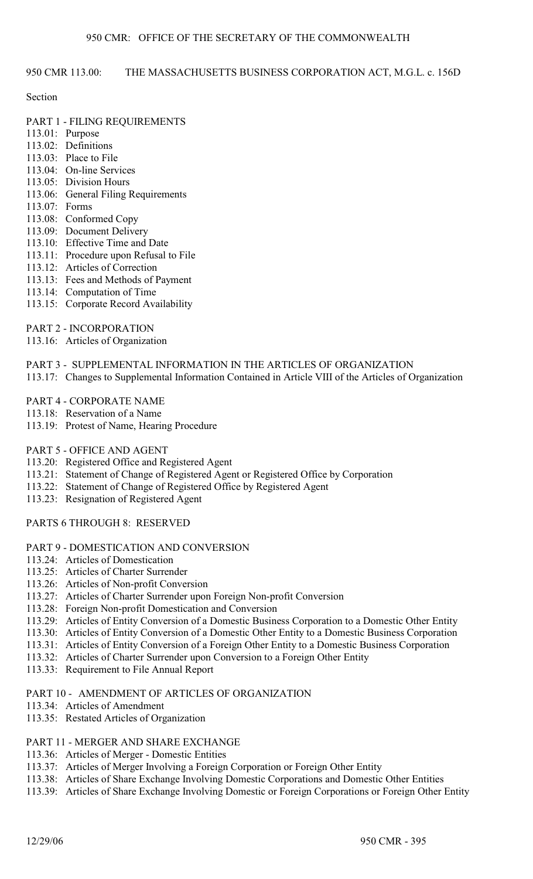# 950 CMR 113.00: THE MASSACHUSETTS BUSINESS CORPORATION ACT, M.G.L. c. 156D

## Section

- PART 1 FILING REQUIREMENTS
- 113.01: Purpose
- 113.02: Definitions
- 113.03: Place to File
- 113.04: On-line Services
- 113.05: Division Hours
- 113.06: General Filing Requirements
- 113.07: Forms
- 113.08: Conformed Copy
- 113.09: Document Delivery
- 113.10: Effective Time and Date
- 113.11: Procedure upon Refusal to File
- 113.12: Articles of Correction
- 113.13: Fees and Methods of Payment
- 113.14: Computation of Time
- 113.15: Corporate Record Availability
- PART 2 INCORPORATION
- 113.16: Articles of Organization
- PART 3 SUPPLEMENTAL INFORMATION IN THE ARTICLES OF ORGANIZATION
- 113.17: Changes to Supplemental Information Contained in Article VIII of the Articles of Organization
- PART 4 CORPORATE NAME
- 113.18: Reservation of a Name
- 113.19: Protest of Name, Hearing Procedure

# PART 5 - OFFICE AND AGENT

- 113.20: Registered Office and Registered Agent
- 113.21: Statement of Change of Registered Agent or Registered Office by Corporation
- 113.22: Statement of Change of Registered Office by Registered Agent
- 113.23: Resignation of Registered Agent
- PARTS 6 THROUGH 8: RESERVED
- PART 9 DOMESTICATION AND CONVERSION
- 113.24: Articles of Domestication
- 113.25: Articles of Charter Surrender
- 113.26: Articles of Non-profit Conversion
- 113.27: Articles of Charter Surrender upon Foreign Non-profit Conversion
- 113.28: Foreign Non-profit Domestication and Conversion
- 113.29: Articles of Entity Conversion of a Domestic Business Corporation to a Domestic Other Entity
- 113.30: Articles of Entity Conversion of a Domestic Other Entity to a Domestic Business Corporation
- 113.31: Articles of Entity Conversion of a Foreign Other Entity to a Domestic Business Corporation
- 113.32: Articles of Charter Surrender upon Conversion to a Foreign Other Entity
- 113.33: Requirement to File Annual Report
- PART 10 AMENDMENT OF ARTICLES OF ORGANIZATION
- 113.34: Articles of Amendment
- 113.35: Restated Articles of Organization

# PART 11 - MERGER AND SHARE EXCHANGE

- 113.36: Articles of Merger Domestic Entities
- 113.37: Articles of Merger Involving a Foreign Corporation or Foreign Other Entity
- 113.38: Articles of Share Exchange Involving Domestic Corporations and Domestic Other Entities
- 113.39: Articles of Share Exchange Involving Domestic or Foreign Corporations or Foreign Other Entity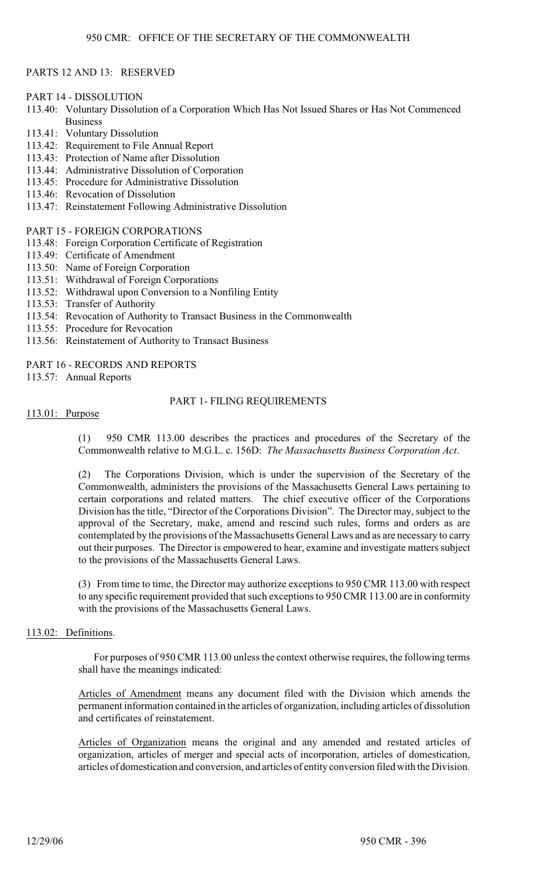## PARTS 12 AND 13: RESERVED

PART 14 - DISSOLUTION

- 113.40: Voluntary Dissolution of a Corporation Which Has Not Issued Shares or Has Not Commenced Business
- 113.41: Voluntary Dissolution
- 113.42: Requirement to File Annual Report
- 113.43: Protection of Name after Dissolution
- 113.44: Administrative Dissolution of Corporation
- 113.45: Procedure for Administrative Dissolution
- 113.46: Revocation of Dissolution
- 113.47: Reinstatement Following Administrative Dissolution

PART 15 - FOREIGN CORPORATIONS

- 113.48: Foreign Corporation Certificate of Registration
- 113.49: Certificate of Amendment
- 113.50: Name of Foreign Corporation
- 113.51: Withdrawal of Foreign Corporations
- 113.52: Withdrawal upon Conversion to a Nonfiling Entity
- 113.53: Transfer of Authority
- 113.54: Revocation of Authority to Transact Business in the Commonwealth
- 113.55: Procedure for Revocation
- 113.56: Reinstatement of Authority to Transact Business
- PART 16 RECORDS AND REPORTS

113.57: Annual Reports

# PART 1- FILING REQUIREMENTS

#### 113.01: Purpose

(1) 950 CMR 113.00 describes the practices and procedures of the Secretary of the Commonwealth relative to M.G.L. c. 156D: *The Massachusetts Business Corporation Act*.

(2) The Corporations Division, which is under the supervision of the Secretary of the Commonwealth, administers the provisions of the Massachusetts General Laws pertaining to certain corporations and related matters. The chief executive officer of the Corporations Division has the title, "Director of the Corporations Division". The Director may, subject to the approval of the Secretary, make, amend and rescind such rules, forms and orders as are contemplated by the provisions of the Massachusetts General Laws and as are necessary to carry out their purposes. The Director is empowered to hear, examine and investigate matters subject to the provisions of the Massachusetts General Laws.

(3) From time to time, the Director may authorize exceptions to 950 CMR 113.00 with respect to any specific requirement provided that such exceptions to 950 CMR 113.00 are in conformity with the provisions of the Massachusetts General Laws.

## 113.02: Definitions.

For purposes of 950 CMR 113.00 unless the context otherwise requires, the following terms shall have the meanings indicated:

Articles of Amendment means any document filed with the Division which amends the permanent information contained in the articles of organization, including articles of dissolution and certificates of reinstatement.

Articles of Organization means the original and any amended and restated articles of organization, articles of merger and special acts of incorporation, articles of domestication, articles of domestication and conversion, and articles of entity conversion filed with the Division.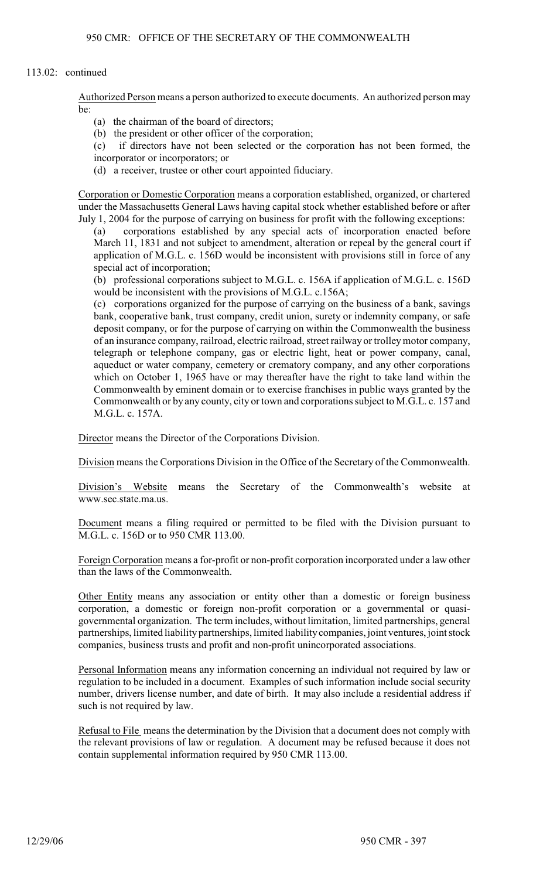## 113.02: continued

Authorized Person means a person authorized to execute documents. An authorized person may  $he.$ 

- (a) the chairman of the board of directors;
- (b) the president or other officer of the corporation;
- (c) if directors have not been selected or the corporation has not been formed, the incorporator or incorporators; or
- (d) a receiver, trustee or other court appointed fiduciary.

Corporation or Domestic Corporation means a corporation established, organized, or chartered under the Massachusetts General Laws having capital stock whether established before or after July 1, 2004 for the purpose of carrying on business for profit with the following exceptions:

(a) corporations established by any special acts of incorporation enacted before March 11, 1831 and not subject to amendment, alteration or repeal by the general court if application of M.G.L. c. 156D would be inconsistent with provisions still in force of any special act of incorporation;

(b) professional corporations subject to M.G.L. c. 156A if application of M.G.L. c. 156D would be inconsistent with the provisions of M.G.L. c.156A;

(c) corporations organized for the purpose of carrying on the business of a bank, savings bank, cooperative bank, trust company, credit union, surety or indemnity company, or safe deposit company, or for the purpose of carrying on within the Commonwealth the business of an insurance company, railroad, electric railroad, street railway or trolley motor company, telegraph or telephone company, gas or electric light, heat or power company, canal, aqueduct or water company, cemetery or crematory company, and any other corporations which on October 1, 1965 have or may thereafter have the right to take land within the Commonwealth by eminent domain or to exercise franchises in public ways granted by the Commonwealth or by any county, city or town and corporations subject to M.G.L. c. 157 and M.G.L. c. 157A.

Director means the Director of the Corporations Division.

Division means the Corporations Division in the Office of the Secretary of the Commonwealth.

Division's Website means the Secretary of the Commonwealth's website at www.sec.state.ma.us.

Document means a filing required or permitted to be filed with the Division pursuant to M.G.L. c. 156D or to 950 CMR 113.00.

Foreign Corporation means a for-profit or non-profit corporation incorporated under a law other than the laws of the Commonwealth.

Other Entity means any association or entity other than a domestic or foreign business corporation, a domestic or foreign non-profit corporation or a governmental or quasigovernmental organization. The term includes, without limitation, limited partnerships, general partnerships, limited liability partnerships, limited liability companies, joint ventures, joint stock companies, business trusts and profit and non-profit unincorporated associations.

Personal Information means any information concerning an individual not required by law or regulation to be included in a document. Examples of such information include social security number, drivers license number, and date of birth. It may also include a residential address if such is not required by law.

Refusal to File means the determination by the Division that a document does not comply with the relevant provisions of law or regulation. A document may be refused because it does not contain supplemental information required by 950 CMR 113.00.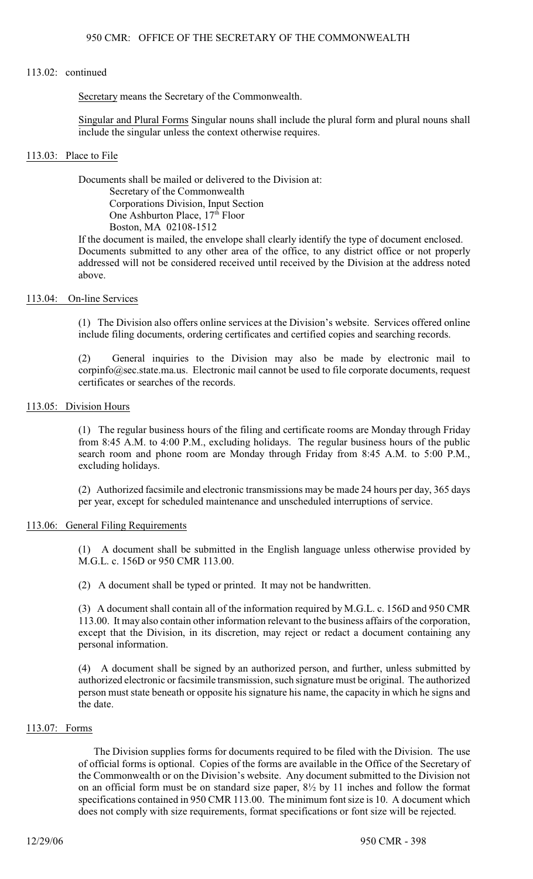#### 113.02: continued

Secretary means the Secretary of the Commonwealth.

Singular and Plural Forms Singular nouns shall include the plural form and plural nouns shall include the singular unless the context otherwise requires.

#### 113.03: Place to File

Documents shall be mailed or delivered to the Division at: Secretary of the Commonwealth Corporations Division, Input Section One Ashburton Place, 17<sup>th</sup> Floor Boston, MA 02108-1512

If the document is mailed, the envelope shall clearly identify the type of document enclosed. Documents submitted to any other area of the office, to any district office or not properly addressed will not be considered received until received by the Division at the address noted above.

#### 113.04: On-line Services

(1) The Division also offers online services at the Division's website. Services offered online include filing documents, ordering certificates and certified copies and searching records.

(2) General inquiries to the Division may also be made by electronic mail to corpinfo@sec.state.ma.us. Electronic mail cannot be used to file corporate documents, request certificates or searches of the records.

## 113.05: Division Hours

(1) The regular business hours of the filing and certificate rooms are Monday through Friday from 8:45 A.M. to 4:00 P.M., excluding holidays. The regular business hours of the public search room and phone room are Monday through Friday from 8:45 A.M. to 5:00 P.M., excluding holidays.

(2) Authorized facsimile and electronic transmissions may be made 24 hours per day, 365 days per year, except for scheduled maintenance and unscheduled interruptions of service.

## 113.06: General Filing Requirements

(1) A document shall be submitted in the English language unless otherwise provided by M.G.L. c. 156D or 950 CMR 113.00.

(2) A document shall be typed or printed. It may not be handwritten.

(3) A document shall contain all of the information required by M.G.L. c. 156D and 950 CMR 113.00. It may also contain other information relevant to the business affairs of the corporation, except that the Division, in its discretion, may reject or redact a document containing any personal information.

(4) A document shall be signed by an authorized person, and further, unless submitted by authorized electronic or facsimile transmission, such signature must be original. The authorized person must state beneath or opposite his signature his name, the capacity in which he signs and the date.

## 113.07: Forms

The Division supplies forms for documents required to be filed with the Division. The use of official forms is optional. Copies of the forms are available in the Office of the Secretary of the Commonwealth or on the Division's website. Any document submitted to the Division not on an official form must be on standard size paper, 8½ by 11 inches and follow the format specifications contained in 950 CMR 113.00. The minimum font size is 10. A document which does not comply with size requirements, format specifications or font size will be rejected.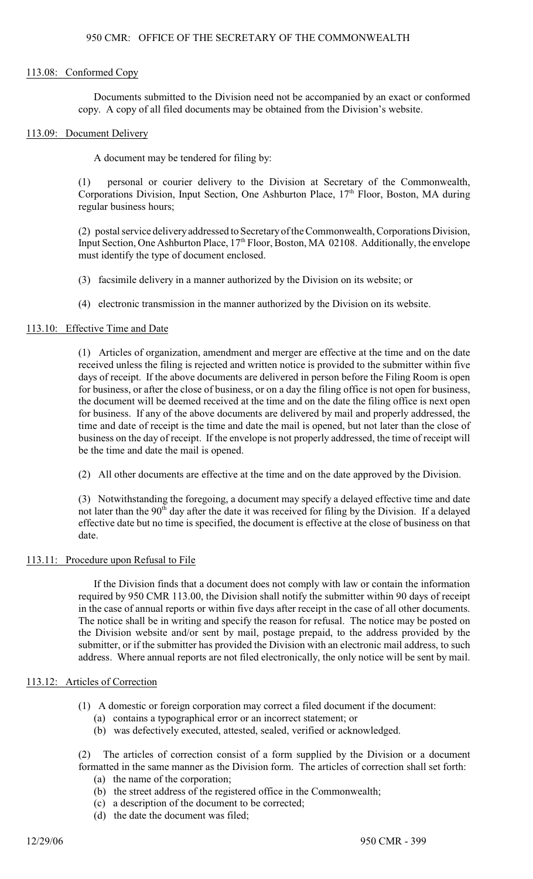#### 113.08: Conformed Copy

Documents submitted to the Division need not be accompanied by an exact or conformed copy. A copy of all filed documents may be obtained from the Division's website.

#### 113.09: Document Delivery

A document may be tendered for filing by:

(1) personal or courier delivery to the Division at Secretary of the Commonwealth, Corporations Division, Input Section, One Ashburton Place,  $17<sup>th</sup>$  Floor, Boston, MA during regular business hours;

(2) postal service delivery addressed to Secretary of the Commonwealth, Corporations Division, Input Section, One Ashburton Place, 17<sup>th</sup> Floor, Boston, MA 02108. Additionally, the envelope must identify the type of document enclosed.

- (3) facsimile delivery in a manner authorized by the Division on its website; or
- (4) electronic transmission in the manner authorized by the Division on its website.

## 113.10: Effective Time and Date

(1) Articles of organization, amendment and merger are effective at the time and on the date received unless the filing is rejected and written notice is provided to the submitter within five days of receipt. If the above documents are delivered in person before the Filing Room is open for business, or after the close of business, or on a day the filing office is not open for business, the document will be deemed received at the time and on the date the filing office is next open for business. If any of the above documents are delivered by mail and properly addressed, the time and date of receipt is the time and date the mail is opened, but not later than the close of business on the day of receipt. If the envelope is not properly addressed, the time of receipt will be the time and date the mail is opened.

(2) All other documents are effective at the time and on the date approved by the Division.

(3) Notwithstanding the foregoing, a document may specify a delayed effective time and date not later than the 90<sup>th</sup> day after the date it was received for filing by the Division. If a delayed effective date but no time is specified, the document is effective at the close of business on that date.

## 113.11: Procedure upon Refusal to File

If the Division finds that a document does not comply with law or contain the information required by 950 CMR 113.00, the Division shall notify the submitter within 90 days of receipt in the case of annual reports or within five days after receipt in the case of all other documents. The notice shall be in writing and specify the reason for refusal. The notice may be posted on the Division website and/or sent by mail, postage prepaid, to the address provided by the submitter, or if the submitter has provided the Division with an electronic mail address, to such address. Where annual reports are not filed electronically, the only notice will be sent by mail.

## 113.12: Articles of Correction

- (1) A domestic or foreign corporation may correct a filed document if the document:
	- (a) contains a typographical error or an incorrect statement; or
	- (b) was defectively executed, attested, sealed, verified or acknowledged.

(2) The articles of correction consist of a form supplied by the Division or a document formatted in the same manner as the Division form. The articles of correction shall set forth:

- (a) the name of the corporation;
- (b) the street address of the registered office in the Commonwealth;
- (c) a description of the document to be corrected;
- (d) the date the document was filed;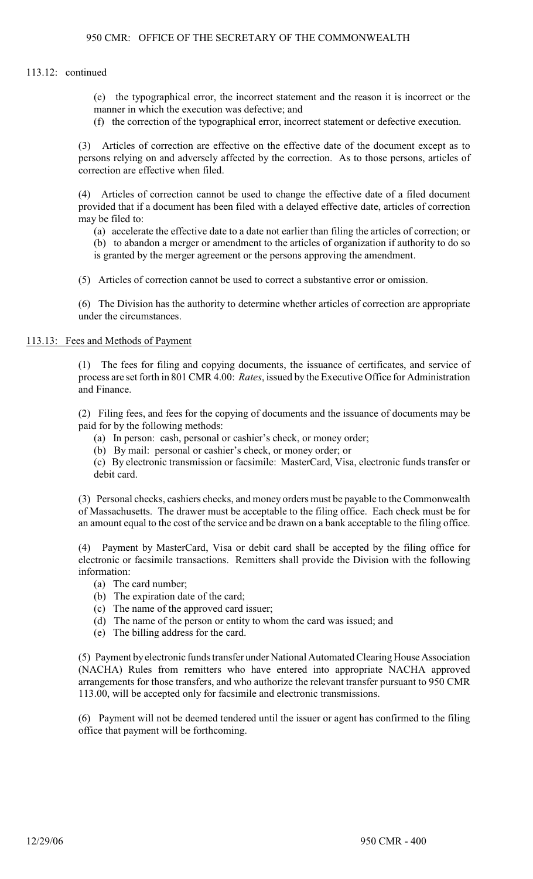## 113.12: continued

(e) the typographical error, the incorrect statement and the reason it is incorrect or the manner in which the execution was defective; and

(f) the correction of the typographical error, incorrect statement or defective execution.

(3) Articles of correction are effective on the effective date of the document except as to persons relying on and adversely affected by the correction. As to those persons, articles of correction are effective when filed.

(4) Articles of correction cannot be used to change the effective date of a filed document provided that if a document has been filed with a delayed effective date, articles of correction may be filed to:

(a) accelerate the effective date to a date not earlier than filing the articles of correction; or

(b) to abandon a merger or amendment to the articles of organization if authority to do so is granted by the merger agreement or the persons approving the amendment.

(5) Articles of correction cannot be used to correct a substantive error or omission.

(6) The Division has the authority to determine whether articles of correction are appropriate under the circumstances.

#### 113.13: Fees and Methods of Payment

(1) The fees for filing and copying documents, the issuance of certificates, and service of process are set forth in 801 CMR 4.00: *Rates*, issued by the Executive Office for Administration and Finance.

(2) Filing fees, and fees for the copying of documents and the issuance of documents may be paid for by the following methods:

(a) In person: cash, personal or cashier's check, or money order;

(b) By mail: personal or cashier's check, or money order; or

(c) By electronic transmission or facsimile: MasterCard, Visa, electronic funds transfer or debit card.

(3) Personal checks, cashiers checks, and money orders must be payable to the Commonwealth of Massachusetts. The drawer must be acceptable to the filing office. Each check must be for an amount equal to the cost of the service and be drawn on a bank acceptable to the filing office.

(4) Payment by MasterCard, Visa or debit card shall be accepted by the filing office for electronic or facsimile transactions. Remitters shall provide the Division with the following information:

- (a) The card number;
- (b) The expiration date of the card;
- (c) The name of the approved card issuer;
- (d) The name of the person or entity to whom the card was issued; and
- (e) The billing address for the card.

(5) Payment by electronic funds transfer under National Automated Clearing House Association (NACHA) Rules from remitters who have entered into appropriate NACHA approved arrangements for those transfers, and who authorize the relevant transfer pursuant to 950 CMR 113.00, will be accepted only for facsimile and electronic transmissions.

(6) Payment will not be deemed tendered until the issuer or agent has confirmed to the filing office that payment will be forthcoming.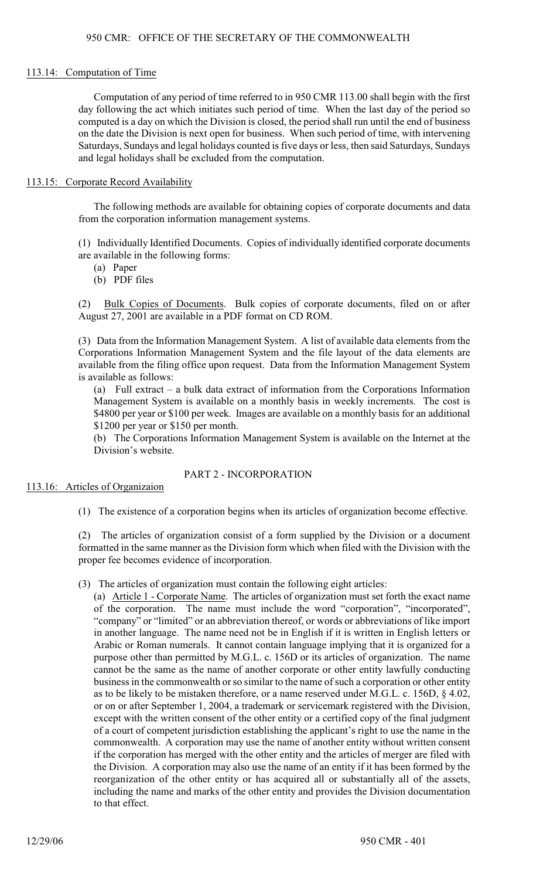#### 113.14: Computation of Time

Computation of any period of time referred to in 950 CMR 113.00 shall begin with the first day following the act which initiates such period of time. When the last day of the period so computed is a day on which the Division is closed, the period shall run until the end of business on the date the Division is next open for business. When such period of time, with intervening Saturdays, Sundays and legal holidays counted isfive days or less, then said Saturdays, Sundays and legal holidays shall be excluded from the computation.

#### 113.15: Corporate Record Availability

The following methods are available for obtaining copies of corporate documents and data from the corporation information management systems.

(1) Individually Identified Documents. Copies of individually identified corporate documents are available in the following forms:

- (a) Paper
- (b) PDF files

(2) Bulk Copies of Documents. Bulk copies of corporate documents, filed on or after August 27, 2001 are available in a PDF format on CD ROM.

(3) Data from the Information Management System. A list of available data elements from the Corporations Information Management System and the file layout of the data elements are available from the filing office upon request. Data from the Information Management System is available as follows:

(a) Full extract – a bulk data extract of information from the Corporations Information Management System is available on a monthly basis in weekly increments. The cost is \$4800 per year or \$100 per week. Images are available on a monthly basis for an additional \$1200 per year or \$150 per month.

(b) The Corporations Information Management System is available on the Internet at the Division's website.

## PART 2 - INCORPORATION

## 113.16: Articles of Organizaion

(1) The existence of a corporation begins when its articles of organization become effective.

(2) The articles of organization consist of a form supplied by the Division or a document formatted in the same manner as the Division form which when filed with the Division with the proper fee becomes evidence of incorporation.

(3) The articles of organization must contain the following eight articles:

(a) Article 1 - Corporate Name. The articles of organization must set forth the exact name of the corporation. The name must include the word "corporation", "incorporated", "company" or "limited" or an abbreviation thereof, or words or abbreviations of like import in another language. The name need not be in English if it is written in English letters or Arabic or Roman numerals. It cannot contain language implying that it is organized for a purpose other than permitted by M.G.L. c. 156D or its articles of organization. The name cannot be the same as the name of another corporate or other entity lawfully conducting business in the commonwealth or so similar to the name of such a corporation or other entity as to be likely to be mistaken therefore, or a name reserved under M.G.L. c. 156D, § 4.02, or on or after September 1, 2004, a trademark or servicemark registered with the Division, except with the written consent of the other entity or a certified copy of the final judgment of a court of competent jurisdiction establishing the applicant's right to use the name in the commonwealth. A corporation may use the name of another entity without written consent if the corporation has merged with the other entity and the articles of merger are filed with the Division. A corporation may also use the name of an entity if it has been formed by the reorganization of the other entity or has acquired all or substantially all of the assets, including the name and marks of the other entity and provides the Division documentation to that effect.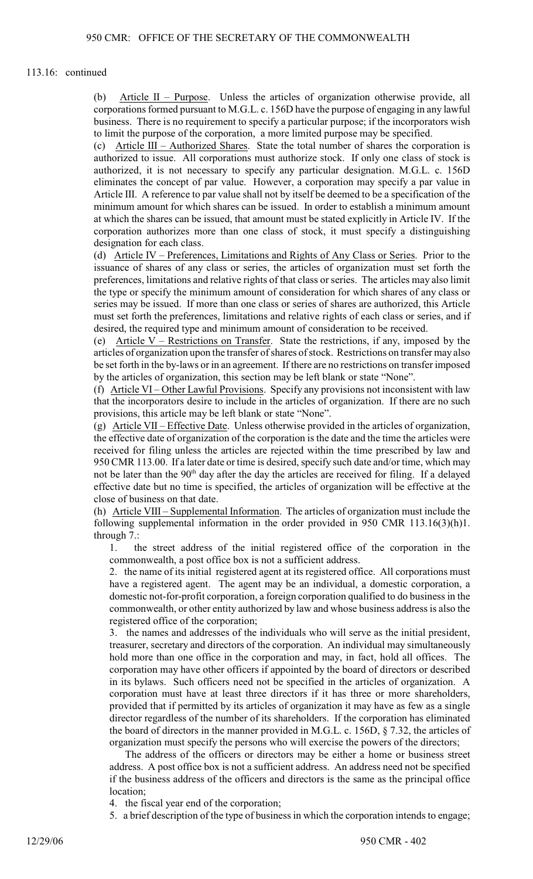#### 113.16: continued

(b) Article II – Purpose. Unless the articles of organization otherwise provide, all corporations formed pursuant to M.G.L. c. 156D have the purpose of engaging in any lawful business. There is no requirement to specify a particular purpose; if the incorporators wish to limit the purpose of the corporation, a more limited purpose may be specified.

(c) Article III – Authorized Shares. State the total number of shares the corporation is authorized to issue. All corporations must authorize stock. If only one class of stock is authorized, it is not necessary to specify any particular designation. M.G.L. c. 156D eliminates the concept of par value. However, a corporation may specify a par value in Article III. A reference to par value shall not by itself be deemed to be a specification of the minimum amount for which shares can be issued. In order to establish a minimum amount at which the shares can be issued, that amount must be stated explicitly in Article IV. If the corporation authorizes more than one class of stock, it must specify a distinguishing designation for each class.

(d) Article IV – Preferences, Limitations and Rights of Any Class or Series. Prior to the issuance of shares of any class or series, the articles of organization must set forth the preferences, limitations and relative rights of that class or series. The articles may also limit the type or specify the minimum amount of consideration for which shares of any class or series may be issued. If more than one class or series of shares are authorized, this Article must set forth the preferences, limitations and relative rights of each class or series, and if desired, the required type and minimum amount of consideration to be received.

(e) Article V – Restrictions on Transfer. State the restrictions, if any, imposed by the articles of organization upon the transfer ofshares of stock. Restrictions on transfer may also be set forth in the by-laws or in an agreement. If there are no restrictions on transfer imposed by the articles of organization, this section may be left blank or state "None".

(f) Article VI – Other Lawful Provisions. Specify any provisions not inconsistent with law that the incorporators desire to include in the articles of organization. If there are no such provisions, this article may be left blank or state "None".

(g) Article VII – Effective Date. Unless otherwise provided in the articles of organization, the effective date of organization of the corporation is the date and the time the articles were received for filing unless the articles are rejected within the time prescribed by law and 950 CMR 113.00. If a later date or time is desired, specify such date and/or time, which may not be later than the  $90<sup>th</sup>$  day after the day the articles are received for filing. If a delayed effective date but no time is specified, the articles of organization will be effective at the close of business on that date.

(h) Article VIII – Supplemental Information. The articles of organization must include the following supplemental information in the order provided in 950 CMR 113.16(3)(h)1. through 7.:

1. the street address of the initial registered office of the corporation in the commonwealth, a post office box is not a sufficient address.

2. the name of its initial registered agent at its registered office. All corporations must have a registered agent. The agent may be an individual, a domestic corporation, a domestic not-for-profit corporation, a foreign corporation qualified to do business in the commonwealth, or other entity authorized by law and whose business address is also the registered office of the corporation;

3. the names and addresses of the individuals who will serve as the initial president, treasurer, secretary and directors of the corporation. An individual may simultaneously hold more than one office in the corporation and may, in fact, hold all offices. The corporation may have other officers if appointed by the board of directors or described in its bylaws. Such officers need not be specified in the articles of organization. A corporation must have at least three directors if it has three or more shareholders, provided that if permitted by its articles of organization it may have as few as a single director regardless of the number of its shareholders. If the corporation has eliminated the board of directors in the manner provided in M.G.L. c. 156D, § 7.32, the articles of organization must specify the persons who will exercise the powers of the directors;

The address of the officers or directors may be either a home or business street address. A post office box is not a sufficient address. An address need not be specified if the business address of the officers and directors is the same as the principal office location;

4. the fiscal year end of the corporation;

5. a brief description of the type of business in which the corporation intends to engage;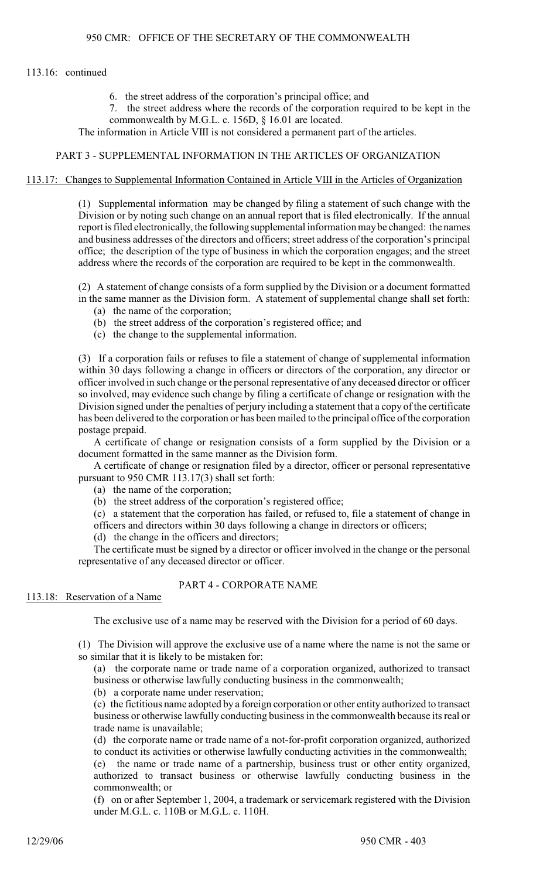## 113.16: continued

- 6. the street address of the corporation's principal office; and
- 7. the street address where the records of the corporation required to be kept in the commonwealth by M.G.L. c. 156D, § 16.01 are located.

The information in Article VIII is not considered a permanent part of the articles.

#### PART 3 - SUPPLEMENTAL INFORMATION IN THE ARTICLES OF ORGANIZATION

#### 113.17: Changes to Supplemental Information Contained in Article VIII in the Articles of Organization

(1) Supplemental information may be changed by filing a statement of such change with the Division or by noting such change on an annual report that is filed electronically. If the annual report is filed electronically, the following supplemental information may be changed: the names and business addresses of the directors and officers; street address of the corporation's principal office; the description of the type of business in which the corporation engages; and the street address where the records of the corporation are required to be kept in the commonwealth.

(2) A statement of change consists of a form supplied by the Division or a document formatted in the same manner as the Division form. A statement of supplemental change shall set forth:

- (a) the name of the corporation;
- (b) the street address of the corporation's registered office; and
- (c) the change to the supplemental information.

(3) If a corporation fails or refuses to file a statement of change of supplemental information within 30 days following a change in officers or directors of the corporation, any director or officer involved in such change or the personal representative of any deceased director or officer so involved, may evidence such change by filing a certificate of change or resignation with the Division signed under the penalties of perjury including a statement that a copy of the certificate has been delivered to the corporation or has been mailed to the principal office of the corporation postage prepaid.

A certificate of change or resignation consists of a form supplied by the Division or a document formatted in the same manner as the Division form.

A certificate of change or resignation filed by a director, officer or personal representative pursuant to 950 CMR 113.17(3) shall set forth:

(a) the name of the corporation;

(b) the street address of the corporation's registered office;

(c) a statement that the corporation has failed, or refused to, file a statement of change in

officers and directors within 30 days following a change in directors or officers;

(d) the change in the officers and directors;

The certificate must be signed by a director or officer involved in the change or the personal representative of any deceased director or officer.

# PART 4 - CORPORATE NAME

#### 113.18: Reservation of a Name

The exclusive use of a name may be reserved with the Division for a period of 60 days.

(1) The Division will approve the exclusive use of a name where the name is not the same or so similar that it is likely to be mistaken for:

(a) the corporate name or trade name of a corporation organized, authorized to transact business or otherwise lawfully conducting business in the commonwealth;

(b) a corporate name under reservation;

(c) the fictitious name adopted by a foreign corporation or other entity authorized to transact business or otherwise lawfully conducting business in the commonwealth because its real or trade name is unavailable;

(d) the corporate name or trade name of a not-for-profit corporation organized, authorized to conduct its activities or otherwise lawfully conducting activities in the commonwealth;

(e) the name or trade name of a partnership, business trust or other entity organized, authorized to transact business or otherwise lawfully conducting business in the commonwealth; or

(f) on or after September 1, 2004, a trademark or servicemark registered with the Division under M.G.L. c. 110B or M.G.L. c. 110H.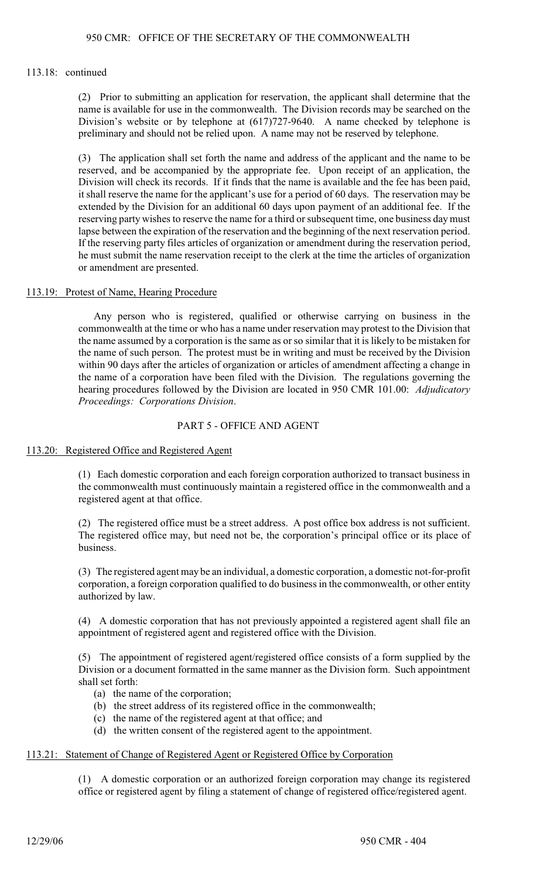## 113.18: continued

(2) Prior to submitting an application for reservation, the applicant shall determine that the name is available for use in the commonwealth. The Division records may be searched on the Division's website or by telephone at (617)727-9640. A name checked by telephone is preliminary and should not be relied upon. A name may not be reserved by telephone.

(3) The application shall set forth the name and address of the applicant and the name to be reserved, and be accompanied by the appropriate fee. Upon receipt of an application, the Division will check its records. If it finds that the name is available and the fee has been paid, it shall reserve the name for the applicant's use for a period of 60 days. The reservation may be extended by the Division for an additional 60 days upon payment of an additional fee. If the reserving party wishes to reserve the name for a third or subsequent time, one business day must lapse between the expiration of the reservation and the beginning of the next reservation period. If the reserving party files articles of organization or amendment during the reservation period, he must submit the name reservation receipt to the clerk at the time the articles of organization or amendment are presented.

# 113.19: Protest of Name, Hearing Procedure

Any person who is registered, qualified or otherwise carrying on business in the commonwealth at the time or who has a name under reservation may protest to the Division that the name assumed by a corporation is the same as or so similar that it is likely to be mistaken for the name of such person. The protest must be in writing and must be received by the Division within 90 days after the articles of organization or articles of amendment affecting a change in the name of a corporation have been filed with the Division. The regulations governing the hearing procedures followed by the Division are located in 950 CMR 101.00: *Adjudicatory Proceedings: Corporations Division*.

# PART 5 - OFFICE AND AGENT

## 113.20: Registered Office and Registered Agent

(1) Each domestic corporation and each foreign corporation authorized to transact business in the commonwealth must continuously maintain a registered office in the commonwealth and a registered agent at that office.

(2) The registered office must be a street address. A post office box address is not sufficient. The registered office may, but need not be, the corporation's principal office or its place of business.

(3) The registered agent may be an individual, a domestic corporation, a domestic not-for-profit corporation, a foreign corporation qualified to do business in the commonwealth, or other entity authorized by law.

(4) A domestic corporation that has not previously appointed a registered agent shall file an appointment of registered agent and registered office with the Division.

(5) The appointment of registered agent/registered office consists of a form supplied by the Division or a document formatted in the same manner as the Division form. Such appointment shall set forth:

- (a) the name of the corporation;
- (b) the street address of its registered office in the commonwealth;
- (c) the name of the registered agent at that office; and
- (d) the written consent of the registered agent to the appointment.

## 113.21: Statement of Change of Registered Agent or Registered Office by Corporation

(1) A domestic corporation or an authorized foreign corporation may change its registered office or registered agent by filing a statement of change of registered office/registered agent.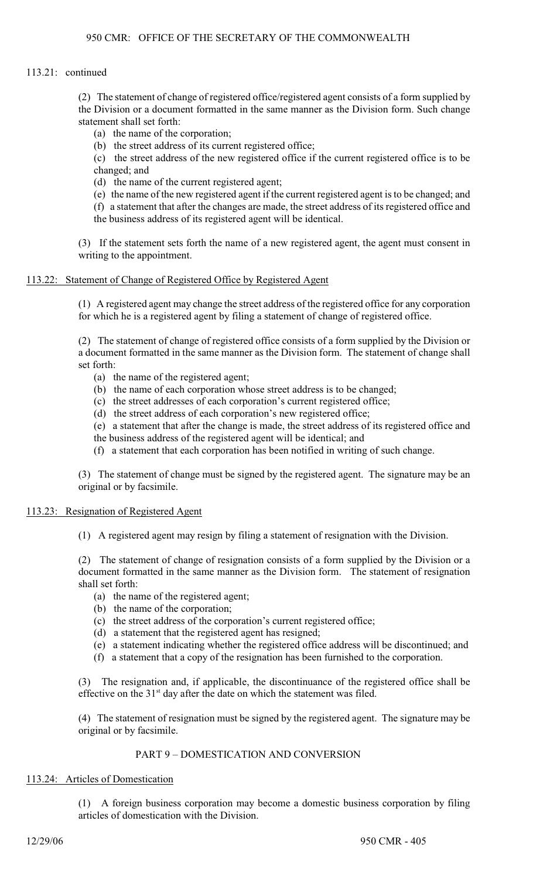## 113.21: continued

(2) The statement of change of registered office/registered agent consists of a form supplied by the Division or a document formatted in the same manner as the Division form. Such change statement shall set forth:

- (a) the name of the corporation;
- (b) the street address of its current registered office;

(c) the street address of the new registered office if the current registered office is to be changed; and

(d) the name of the current registered agent;

- (e) the name of the new registered agent if the current registered agent is to be changed; and
- (f) a statement that after the changes are made, the street address of its registered office and the business address of its registered agent will be identical.

(3) If the statement sets forth the name of a new registered agent, the agent must consent in writing to the appointment.

#### 113.22: Statement of Change of Registered Office by Registered Agent

(1) A registered agent may change the street address of the registered office for any corporation for which he is a registered agent by filing a statement of change of registered office.

(2) The statement of change of registered office consists of a form supplied by the Division or a document formatted in the same manner as the Division form. The statement of change shall set forth:

- (a) the name of the registered agent;
- (b) the name of each corporation whose street address is to be changed;
- (c) the street addresses of each corporation's current registered office;
- (d) the street address of each corporation's new registered office;
- (e) a statement that after the change is made, the street address of its registered office and
- the business address of the registered agent will be identical; and
- (f) a statement that each corporation has been notified in writing of such change.

(3) The statement of change must be signed by the registered agent. The signature may be an original or by facsimile.

#### 113.23: Resignation of Registered Agent

(1) A registered agent may resign by filing a statement of resignation with the Division.

(2) The statement of change of resignation consists of a form supplied by the Division or a document formatted in the same manner as the Division form. The statement of resignation shall set forth:

- (a) the name of the registered agent;
- (b) the name of the corporation;
- (c) the street address of the corporation's current registered office;
- (d) a statement that the registered agent has resigned;
- (e) a statement indicating whether the registered office address will be discontinued; and
- (f) a statement that a copy of the resignation has been furnished to the corporation.

(3) The resignation and, if applicable, the discontinuance of the registered office shall be effective on the  $31<sup>st</sup>$  day after the date on which the statement was filed.

(4) The statement of resignation must be signed by the registered agent. The signature may be original or by facsimile.

# PART 9 – DOMESTICATION AND CONVERSION

# 113.24: Articles of Domestication

(1) A foreign business corporation may become a domestic business corporation by filing articles of domestication with the Division.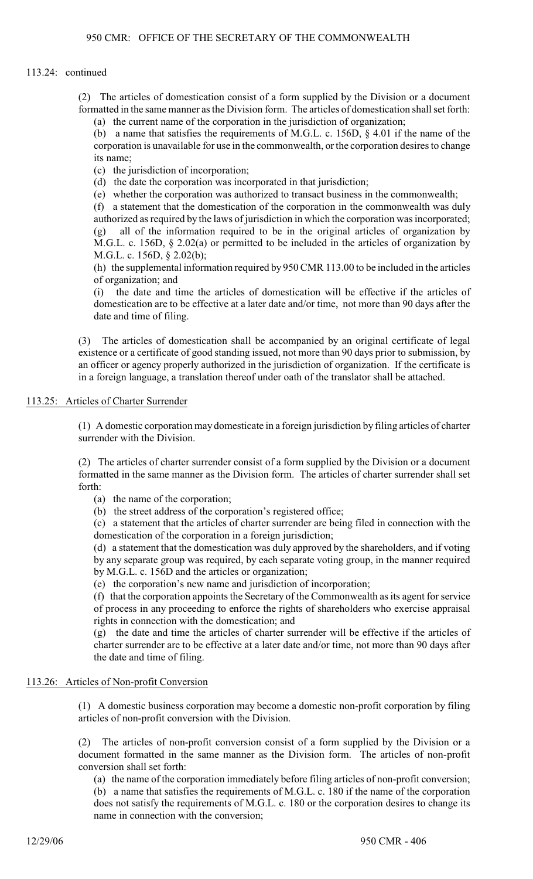## 113.24: continued

(2) The articles of domestication consist of a form supplied by the Division or a document formatted in the same manner as the Division form. The articles of domestication shall set forth:

(a) the current name of the corporation in the jurisdiction of organization;

(b) a name that satisfies the requirements of M.G.L. c. 156D, § 4.01 if the name of the corporation is unavailable for use in the commonwealth, or the corporation desires to change its name;

(c) the jurisdiction of incorporation;

(d) the date the corporation was incorporated in that jurisdiction;

(e) whether the corporation was authorized to transact business in the commonwealth;

(f) a statement that the domestication of the corporation in the commonwealth was duly authorized as required by the laws of jurisdiction in which the corporation was incorporated; (g) all of the information required to be in the original articles of organization by M.G.L. c. 156D, § 2.02(a) or permitted to be included in the articles of organization by M.G.L. c. 156D, § 2.02(b);

(h) the supplemental information required by 950 CMR 113.00 to be included in the articles of organization; and

(i) the date and time the articles of domestication will be effective if the articles of domestication are to be effective at a later date and/or time, not more than 90 days after the date and time of filing.

(3) The articles of domestication shall be accompanied by an original certificate of legal existence or a certificate of good standing issued, not more than 90 days prior to submission, by an officer or agency properly authorized in the jurisdiction of organization. If the certificate is in a foreign language, a translation thereof under oath of the translator shall be attached.

# 113.25: Articles of Charter Surrender

(1) A domestic corporation may domesticate in a foreign jurisdiction by filing articles of charter surrender with the Division.

(2) The articles of charter surrender consist of a form supplied by the Division or a document formatted in the same manner as the Division form. The articles of charter surrender shall set forth:

- (a) the name of the corporation;
- (b) the street address of the corporation's registered office;

(c) a statement that the articles of charter surrender are being filed in connection with the domestication of the corporation in a foreign jurisdiction;

(d) a statement that the domestication was duly approved by the shareholders, and if voting by any separate group was required, by each separate voting group, in the manner required by M.G.L. c. 156D and the articles or organization;

(e) the corporation's new name and jurisdiction of incorporation;

(f) that the corporation appoints the Secretary of the Commonwealth as its agent for service of process in any proceeding to enforce the rights of shareholders who exercise appraisal rights in connection with the domestication; and

(g) the date and time the articles of charter surrender will be effective if the articles of charter surrender are to be effective at a later date and/or time, not more than 90 days after the date and time of filing.

## 113.26: Articles of Non-profit Conversion

(1) A domestic business corporation may become a domestic non-profit corporation by filing articles of non-profit conversion with the Division.

(2) The articles of non-profit conversion consist of a form supplied by the Division or a document formatted in the same manner as the Division form. The articles of non-profit conversion shall set forth:

(a) the name of the corporation immediately before filing articles of non-profit conversion;

(b) a name that satisfies the requirements of M.G.L. c. 180 if the name of the corporation does not satisfy the requirements of M.G.L. c. 180 or the corporation desires to change its name in connection with the conversion;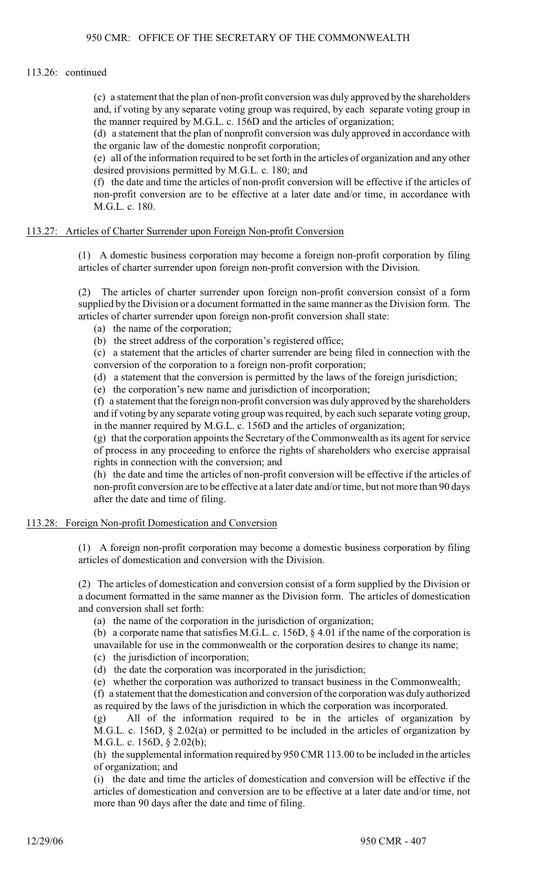#### 113.26: continued

(c) a statement that the plan of non-profit conversion was duly approved by the shareholders and, if voting by any separate voting group was required, by each separate voting group in the manner required by M.G.L. c. 156D and the articles of organization;

(d) a statement that the plan of nonprofit conversion was duly approved in accordance with the organic law of the domestic nonprofit corporation;

(e) all of the information required to be set forth in the articles of organization and any other desired provisions permitted by M.G.L. c. 180; and

(f) the date and time the articles of non-profit conversion will be effective if the articles of non-profit conversion are to be effective at a later date and/or time, in accordance with M.G.L. c. 180.

#### 113.27: Articles of Charter Surrender upon Foreign Non-profit Conversion

(1) A domestic business corporation may become a foreign non-profit corporation by filing articles of charter surrender upon foreign non-profit conversion with the Division.

(2) The articles of charter surrender upon foreign non-profit conversion consist of a form supplied by the Division or a document formatted in the same manner as the Division form. The articles of charter surrender upon foreign non-profit conversion shall state:

- (a) the name of the corporation;
- (b) the street address of the corporation's registered office;

(c) a statement that the articles of charter surrender are being filed in connection with the conversion of the corporation to a foreign non-profit corporation;

(d) a statement that the conversion is permitted by the laws of the foreign jurisdiction;

(e) the corporation's new name and jurisdiction of incorporation;

(f) a statement that the foreign non-profit conversion was duly approved by the shareholders and if voting by any separate voting group was required, by each such separate voting group, in the manner required by M.G.L. c. 156D and the articles of organization;

(g) that the corporation appoints the Secretary of the Commonwealth as its agent for service of process in any proceeding to enforce the rights of shareholders who exercise appraisal rights in connection with the conversion; and

(h) the date and time the articles of non-profit conversion will be effective if the articles of non-profit conversion are to be effective at a later date and/or time, but not more than 90 days after the date and time of filing.

#### 113.28: Foreign Non-profit Domestication and Conversion

(1) A foreign non-profit corporation may become a domestic business corporation by filing articles of domestication and conversion with the Division.

(2) The articles of domestication and conversion consist of a form supplied by the Division or a document formatted in the same manner as the Division form. The articles of domestication and conversion shall set forth:

(a) the name of the corporation in the jurisdiction of organization;

(b) a corporate name that satisfies M.G.L. c. 156D, § 4.01 if the name of the corporation is unavailable for use in the commonwealth or the corporation desires to change its name;

(c) the jurisdiction of incorporation;

(d) the date the corporation was incorporated in the jurisdiction;

(e) whether the corporation was authorized to transact business in the Commonwealth;

(f) a statement that the domestication and conversion of the corporation was duly authorized as required by the laws of the jurisdiction in which the corporation was incorporated.

(g) All of the information required to be in the articles of organization by M.G.L. c. 156D, § 2.02(a) or permitted to be included in the articles of organization by M.G.L. c. 156D, § 2.02(b);

(h) the supplemental information required by 950 CMR 113.00 to be included in the articles of organization; and

(i) the date and time the articles of domestication and conversion will be effective if the articles of domestication and conversion are to be effective at a later date and/or time, not more than 90 days after the date and time of filing.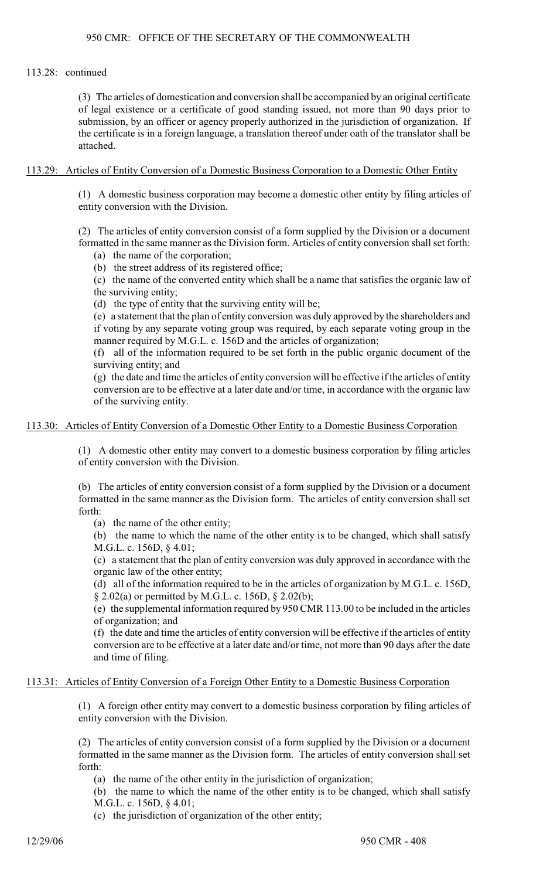## 113.28: continued

(3) The articles of domestication and conversion shall be accompanied by an original certificate of legal existence or a certificate of good standing issued, not more than 90 days prior to submission, by an officer or agency properly authorized in the jurisdiction of organization. If the certificate is in a foreign language, a translation thereof under oath of the translator shall be attached.

#### 113.29: Articles of Entity Conversion of a Domestic Business Corporation to a Domestic Other Entity

(1) A domestic business corporation may become a domestic other entity by filing articles of entity conversion with the Division.

(2) The articles of entity conversion consist of a form supplied by the Division or a document formatted in the same manner as the Division form. Articles of entity conversion shall set forth:

(a) the name of the corporation;

(b) the street address of its registered office;

(c) the name of the converted entity which shall be a name that satisfies the organic law of the surviving entity;

(d) the type of entity that the surviving entity will be;

(e) a statement that the plan of entity conversion was duly approved by the shareholders and if voting by any separate voting group was required, by each separate voting group in the manner required by M.G.L. c. 156D and the articles of organization;

(f) all of the information required to be set forth in the public organic document of the surviving entity; and

(g) the date and time the articles of entity conversion will be effective if the articles of entity conversion are to be effective at a later date and/or time, in accordance with the organic law of the surviving entity.

#### 113.30: Articles of Entity Conversion of a Domestic Other Entity to a Domestic Business Corporation

(1) A domestic other entity may convert to a domestic business corporation by filing articles of entity conversion with the Division.

(b) The articles of entity conversion consist of a form supplied by the Division or a document formatted in the same manner as the Division form. The articles of entity conversion shall set forth:

(a) the name of the other entity;

(b) the name to which the name of the other entity is to be changed, which shall satisfy M.G.L. c. 156D, § 4.01;

(c) a statement that the plan of entity conversion was duly approved in accordance with the organic law of the other entity;

(d) all of the information required to be in the articles of organization by M.G.L. c. 156D, § 2.02(a) or permitted by M.G.L. c. 156D, § 2.02(b);

(e) the supplemental information required by 950 CMR 113.00 to be included in the articles of organization; and

(f) the date and time the articles of entity conversion will be effective if the articles of entity conversion are to be effective at a later date and/or time, not more than 90 days after the date and time of filing.

## 113.31: Articles of Entity Conversion of a Foreign Other Entity to a Domestic Business Corporation

(1) A foreign other entity may convert to a domestic business corporation by filing articles of entity conversion with the Division.

(2) The articles of entity conversion consist of a form supplied by the Division or a document formatted in the same manner as the Division form. The articles of entity conversion shall set forth:

(a) the name of the other entity in the jurisdiction of organization;

(b) the name to which the name of the other entity is to be changed, which shall satisfy M.G.L. c. 156D, § 4.01;

(c) the jurisdiction of organization of the other entity;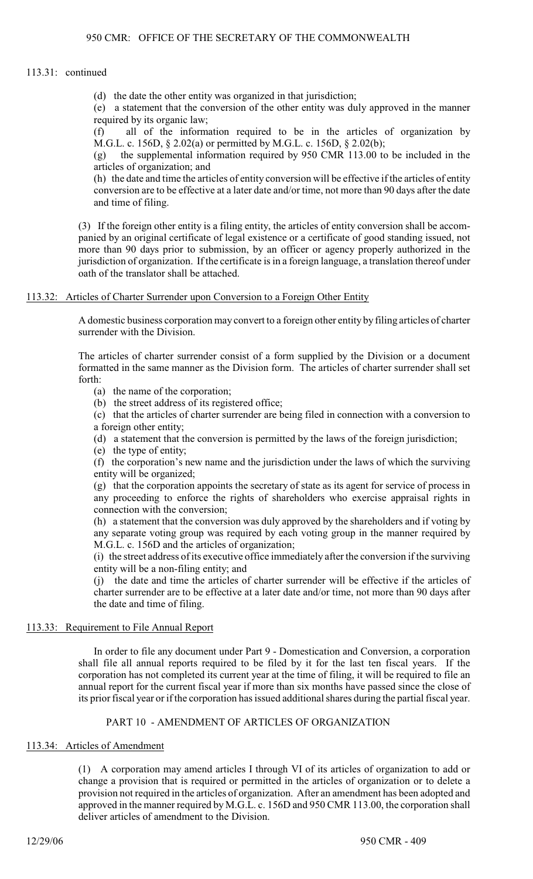#### 113.31: continued

(d) the date the other entity was organized in that jurisdiction;

(e) a statement that the conversion of the other entity was duly approved in the manner required by its organic law;

(f) all of the information required to be in the articles of organization by M.G.L. c. 156D, § 2.02(a) or permitted by M.G.L. c. 156D, § 2.02(b);

(g) the supplemental information required by 950 CMR 113.00 to be included in the articles of organization; and

(h) the date and time the articles of entity conversion will be effective if the articles of entity conversion are to be effective at a later date and/or time, not more than 90 days after the date and time of filing.

(3) If the foreign other entity is a filing entity, the articles of entity conversion shall be accompanied by an original certificate of legal existence or a certificate of good standing issued, not more than 90 days prior to submission, by an officer or agency properly authorized in the jurisdiction of organization. If the certificate is in a foreign language, a translation thereof under oath of the translator shall be attached.

# 113.32: Articles of Charter Surrender upon Conversion to a Foreign Other Entity

A domestic business corporation may convert to a foreign other entity by filing articles of charter surrender with the Division.

The articles of charter surrender consist of a form supplied by the Division or a document formatted in the same manner as the Division form. The articles of charter surrender shall set forth:

- (a) the name of the corporation;
- (b) the street address of its registered office;

(c) that the articles of charter surrender are being filed in connection with a conversion to a foreign other entity;

(d) a statement that the conversion is permitted by the laws of the foreign jurisdiction;

(e) the type of entity;

(f) the corporation's new name and the jurisdiction under the laws of which the surviving entity will be organized;

(g) that the corporation appoints the secretary of state as its agent for service of process in any proceeding to enforce the rights of shareholders who exercise appraisal rights in connection with the conversion;

(h) a statement that the conversion was duly approved by the shareholders and if voting by any separate voting group was required by each voting group in the manner required by M.G.L. c. 156D and the articles of organization;

(i) the street address ofits executive office immediately after the conversion if the surviving entity will be a non-filing entity; and

(j) the date and time the articles of charter surrender will be effective if the articles of charter surrender are to be effective at a later date and/or time, not more than 90 days after the date and time of filing.

## 113.33: Requirement to File Annual Report

In order to file any document under Part 9 - Domestication and Conversion, a corporation shall file all annual reports required to be filed by it for the last ten fiscal years. If the corporation has not completed its current year at the time of filing, it will be required to file an annual report for the current fiscal year if more than six months have passed since the close of its prior fiscal year or if the corporation has issued additional shares during the partial fiscal year.

# PART 10 - AMENDMENT OF ARTICLES OF ORGANIZATION

## 113.34: Articles of Amendment

(1) A corporation may amend articles I through VI of its articles of organization to add or change a provision that is required or permitted in the articles of organization or to delete a provision not required in the articles of organization. After an amendment has been adopted and approved in the manner required by M.G.L. c. 156D and 950 CMR 113.00, the corporation shall deliver articles of amendment to the Division.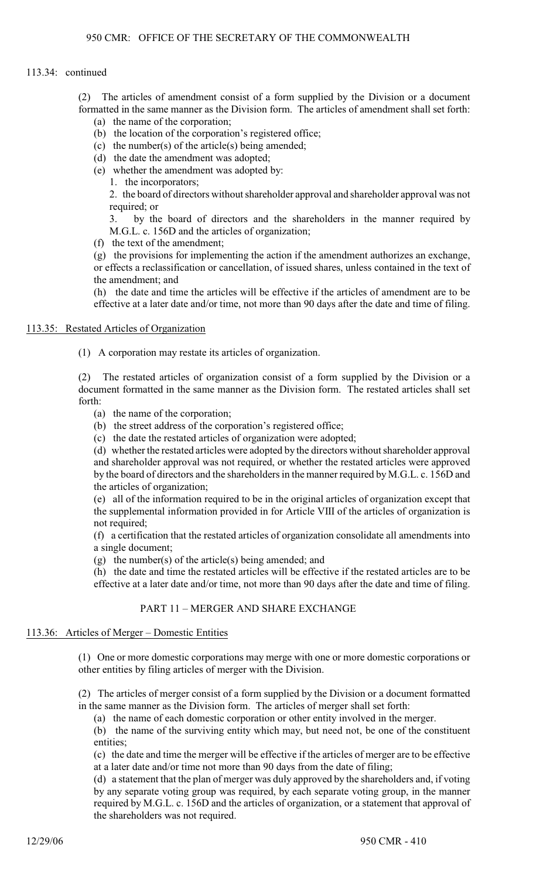## 113.34: continued

(2) The articles of amendment consist of a form supplied by the Division or a document formatted in the same manner as the Division form. The articles of amendment shall set forth:

- (a) the name of the corporation;
- (b) the location of the corporation's registered office;
- (c) the number(s) of the article(s) being amended;
- (d) the date the amendment was adopted;
- (e) whether the amendment was adopted by:
	- 1. the incorporators;

2. the board of directors without shareholder approval and shareholder approval was not required; or

3. by the board of directors and the shareholders in the manner required by M.G.L. c. 156D and the articles of organization;

(f) the text of the amendment;

(g) the provisions for implementing the action if the amendment authorizes an exchange, or effects a reclassification or cancellation, of issued shares, unless contained in the text of the amendment; and

(h) the date and time the articles will be effective if the articles of amendment are to be effective at a later date and/or time, not more than 90 days after the date and time of filing.

# 113.35: Restated Articles of Organization

(1) A corporation may restate its articles of organization.

(2) The restated articles of organization consist of a form supplied by the Division or a document formatted in the same manner as the Division form. The restated articles shall set forth:

- (a) the name of the corporation;
- (b) the street address of the corporation's registered office;
- (c) the date the restated articles of organization were adopted;

(d) whether the restated articles were adopted by the directors without shareholder approval and shareholder approval was not required, or whether the restated articles were approved by the board of directors and the shareholders in the manner required by M.G.L. c. 156D and the articles of organization;

(e) all of the information required to be in the original articles of organization except that the supplemental information provided in for Article VIII of the articles of organization is not required;

(f) a certification that the restated articles of organization consolidate all amendments into a single document;

(g) the number(s) of the article(s) being amended; and

(h) the date and time the restated articles will be effective if the restated articles are to be effective at a later date and/or time, not more than 90 days after the date and time of filing.

# PART 11 – MERGER AND SHARE EXCHANGE

# 113.36: Articles of Merger – Domestic Entities

(1) One or more domestic corporations may merge with one or more domestic corporations or other entities by filing articles of merger with the Division.

(2) The articles of merger consist of a form supplied by the Division or a document formatted in the same manner as the Division form. The articles of merger shall set forth:

(a) the name of each domestic corporation or other entity involved in the merger.

(b) the name of the surviving entity which may, but need not, be one of the constituent entities;

(c) the date and time the merger will be effective if the articles of merger are to be effective at a later date and/or time not more than 90 days from the date of filing;

(d) a statement that the plan of merger was duly approved by the shareholders and, if voting by any separate voting group was required, by each separate voting group, in the manner required by M.G.L. c. 156D and the articles of organization, or a statement that approval of the shareholders was not required.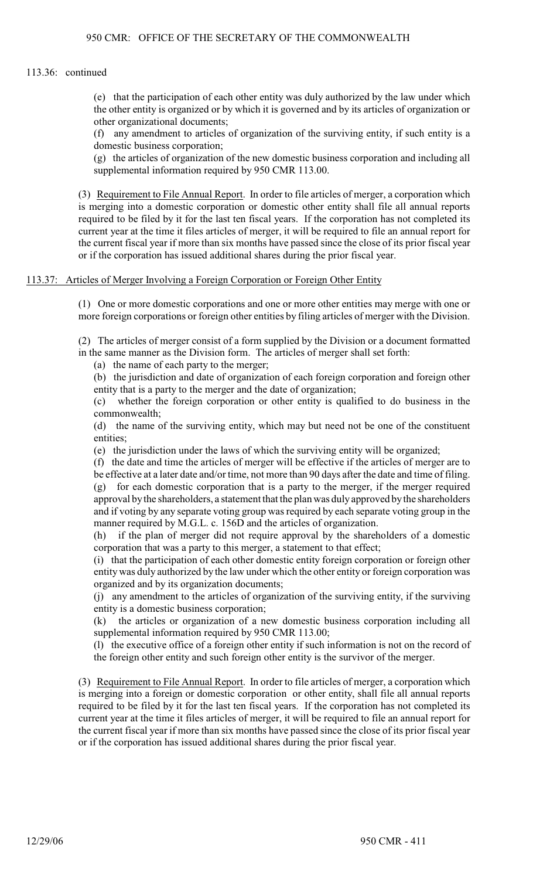#### 113.36: continued

(e) that the participation of each other entity was duly authorized by the law under which the other entity is organized or by which it is governed and by its articles of organization or other organizational documents;

(f) any amendment to articles of organization of the surviving entity, if such entity is a domestic business corporation;

(g) the articles of organization of the new domestic business corporation and including all supplemental information required by 950 CMR 113.00.

(3) Requirement to File Annual Report. In order to file articles of merger, a corporation which is merging into a domestic corporation or domestic other entity shall file all annual reports required to be filed by it for the last ten fiscal years. If the corporation has not completed its current year at the time it files articles of merger, it will be required to file an annual report for the current fiscal year if more than six months have passed since the close of its prior fiscal year or if the corporation has issued additional shares during the prior fiscal year.

#### 113.37: Articles of Merger Involving a Foreign Corporation or Foreign Other Entity

(1) One or more domestic corporations and one or more other entities may merge with one or more foreign corporations or foreign other entities by filing articles of merger with the Division.

(2) The articles of merger consist of a form supplied by the Division or a document formatted in the same manner as the Division form. The articles of merger shall set forth:

(a) the name of each party to the merger;

(b) the jurisdiction and date of organization of each foreign corporation and foreign other entity that is a party to the merger and the date of organization;

(c) whether the foreign corporation or other entity is qualified to do business in the commonwealth;

(d) the name of the surviving entity, which may but need not be one of the constituent entities;

(e) the jurisdiction under the laws of which the surviving entity will be organized;

(f) the date and time the articles of merger will be effective if the articles of merger are to be effective at a later date and/or time, not more than 90 days after the date and time of filing. (g) for each domestic corporation that is a party to the merger, if the merger required approval by the shareholders, a statement that the plan was duly approved by the shareholders and if voting by any separate voting group was required by each separate voting group in the manner required by M.G.L. c. 156D and the articles of organization.

(h) if the plan of merger did not require approval by the shareholders of a domestic corporation that was a party to this merger, a statement to that effect;

(i) that the participation of each other domestic entity foreign corporation or foreign other entity was duly authorized by the law under which the other entity or foreign corporation was organized and by its organization documents;

(j) any amendment to the articles of organization of the surviving entity, if the surviving entity is a domestic business corporation;

(k) the articles or organization of a new domestic business corporation including all supplemental information required by 950 CMR 113.00;

(l) the executive office of a foreign other entity if such information is not on the record of the foreign other entity and such foreign other entity is the survivor of the merger.

(3) Requirement to File Annual Report. In order to file articles of merger, a corporation which is merging into a foreign or domestic corporation or other entity, shall file all annual reports required to be filed by it for the last ten fiscal years. If the corporation has not completed its current year at the time it files articles of merger, it will be required to file an annual report for the current fiscal year if more than six months have passed since the close of its prior fiscal year or if the corporation has issued additional shares during the prior fiscal year.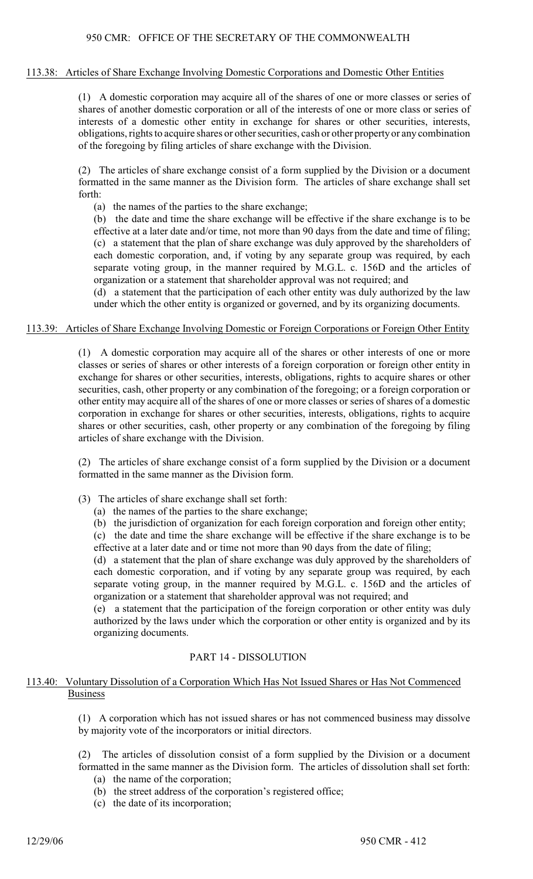#### 113.38: Articles of Share Exchange Involving Domestic Corporations and Domestic Other Entities

(1) A domestic corporation may acquire all of the shares of one or more classes or series of shares of another domestic corporation or all of the interests of one or more class or series of interests of a domestic other entity in exchange for shares or other securities, interests, obligations, rights to acquire shares or other securities, cash or other propertyor any combination of the foregoing by filing articles of share exchange with the Division.

(2) The articles of share exchange consist of a form supplied by the Division or a document formatted in the same manner as the Division form. The articles of share exchange shall set forth:

(a) the names of the parties to the share exchange;

(b) the date and time the share exchange will be effective if the share exchange is to be effective at a later date and/or time, not more than 90 days from the date and time of filing; (c) a statement that the plan of share exchange was duly approved by the shareholders of each domestic corporation, and, if voting by any separate group was required, by each separate voting group, in the manner required by M.G.L. c. 156D and the articles of organization or a statement that shareholder approval was not required; and

(d) a statement that the participation of each other entity was duly authorized by the law under which the other entity is organized or governed, and by its organizing documents.

#### 113.39: Articles of Share Exchange Involving Domestic or Foreign Corporations or Foreign Other Entity

(1) A domestic corporation may acquire all of the shares or other interests of one or more classes or series of shares or other interests of a foreign corporation or foreign other entity in exchange for shares or other securities, interests, obligations, rights to acquire shares or other securities, cash, other property or any combination of the foregoing; or a foreign corporation or other entity may acquire all of the shares of one or more classes or series of shares of a domestic corporation in exchange for shares or other securities, interests, obligations, rights to acquire shares or other securities, cash, other property or any combination of the foregoing by filing articles of share exchange with the Division.

(2) The articles of share exchange consist of a form supplied by the Division or a document formatted in the same manner as the Division form.

- (3) The articles of share exchange shall set forth:
	- (a) the names of the parties to the share exchange;
	- (b) the jurisdiction of organization for each foreign corporation and foreign other entity;

(c) the date and time the share exchange will be effective if the share exchange is to be effective at a later date and or time not more than 90 days from the date of filing;

(d) a statement that the plan of share exchange was duly approved by the shareholders of each domestic corporation, and if voting by any separate group was required, by each separate voting group, in the manner required by M.G.L. c. 156D and the articles of organization or a statement that shareholder approval was not required; and

(e) a statement that the participation of the foreign corporation or other entity was duly authorized by the laws under which the corporation or other entity is organized and by its organizing documents.

## PART 14 - DISSOLUTION

## 113.40: Voluntary Dissolution of a Corporation Which Has Not Issued Shares or Has Not Commenced Business

(1) A corporation which has not issued shares or has not commenced business may dissolve by majority vote of the incorporators or initial directors.

(2) The articles of dissolution consist of a form supplied by the Division or a document formatted in the same manner as the Division form. The articles of dissolution shall set forth:

- (a) the name of the corporation;
- (b) the street address of the corporation's registered office;
- (c) the date of its incorporation;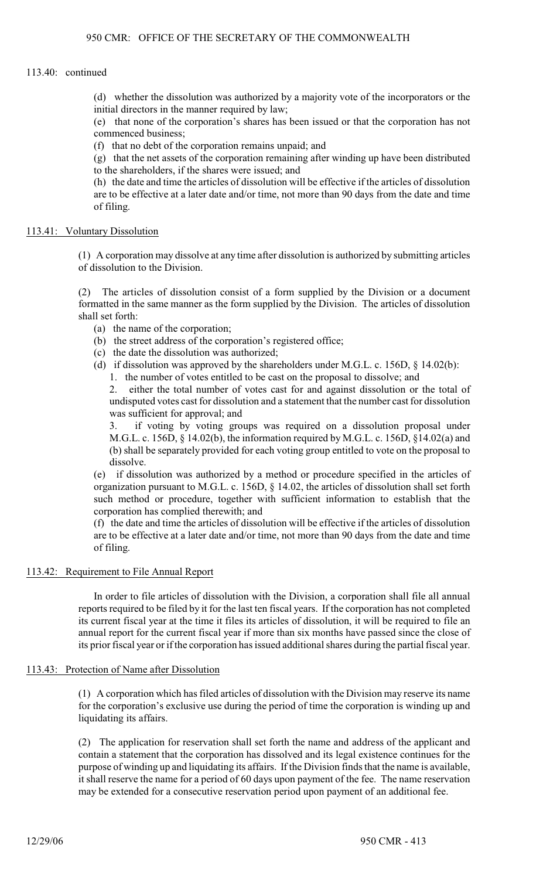## 113.40: continued

(d) whether the dissolution was authorized by a majority vote of the incorporators or the initial directors in the manner required by law;

(e) that none of the corporation's shares has been issued or that the corporation has not commenced business;

(f) that no debt of the corporation remains unpaid; and

(g) that the net assets of the corporation remaining after winding up have been distributed to the shareholders, if the shares were issued; and

(h) the date and time the articles of dissolution will be effective if the articles of dissolution are to be effective at a later date and/or time, not more than 90 days from the date and time of filing.

## 113.41: Voluntary Dissolution

(1) A corporation may dissolve at any time after dissolution is authorized by submitting articles of dissolution to the Division.

(2) The articles of dissolution consist of a form supplied by the Division or a document formatted in the same manner as the form supplied by the Division. The articles of dissolution shall set forth:

- (a) the name of the corporation;
- (b) the street address of the corporation's registered office;
- (c) the date the dissolution was authorized;
- (d) if dissolution was approved by the shareholders under M.G.L. c. 156D,  $\S$  14.02(b):
	- 1. the number of votes entitled to be cast on the proposal to dissolve; and

2. either the total number of votes cast for and against dissolution or the total of undisputed votes cast for dissolution and a statement that the number cast for dissolution was sufficient for approval; and

3. if voting by voting groups was required on a dissolution proposal under M.G.L. c. 156D, § 14.02(b), the information required by M.G.L. c. 156D, §14.02(a) and (b) shall be separately provided for each voting group entitled to vote on the proposal to dissolve.

(e) if dissolution was authorized by a method or procedure specified in the articles of organization pursuant to M.G.L. c. 156D, § 14.02, the articles of dissolution shall set forth such method or procedure, together with sufficient information to establish that the corporation has complied therewith; and

(f) the date and time the articles of dissolution will be effective if the articles of dissolution are to be effective at a later date and/or time, not more than 90 days from the date and time of filing.

## 113.42: Requirement to File Annual Report

In order to file articles of dissolution with the Division, a corporation shall file all annual reports required to be filed by it for the last ten fiscal years. If the corporation has not completed its current fiscal year at the time it files its articles of dissolution, it will be required to file an annual report for the current fiscal year if more than six months have passed since the close of its prior fiscal year or if the corporation has issued additional shares during the partial fiscal year.

## 113.43: Protection of Name after Dissolution

(1) A corporation which has filed articles of dissolution with the Division may reserve its name for the corporation's exclusive use during the period of time the corporation is winding up and liquidating its affairs.

(2) The application for reservation shall set forth the name and address of the applicant and contain a statement that the corporation has dissolved and its legal existence continues for the purpose of winding up and liquidating its affairs. If the Division finds that the name is available, it shall reserve the name for a period of 60 days upon payment of the fee. The name reservation may be extended for a consecutive reservation period upon payment of an additional fee.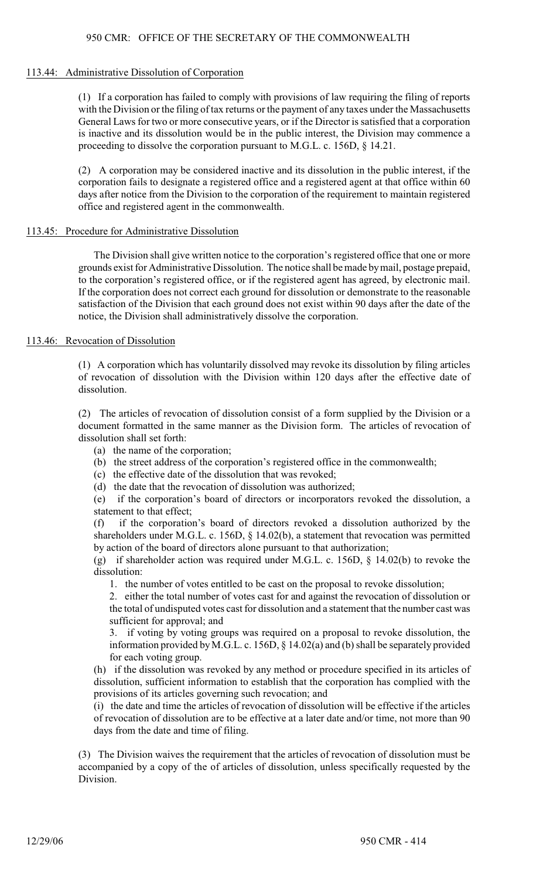#### 113.44: Administrative Dissolution of Corporation

(1) If a corporation has failed to comply with provisions of law requiring the filing of reports with the Division or the filing of tax returns or the payment of any taxes under the Massachusetts General Laws for two or more consecutive years, or if the Director is satisfied that a corporation is inactive and its dissolution would be in the public interest, the Division may commence a proceeding to dissolve the corporation pursuant to M.G.L. c. 156D, § 14.21.

(2) A corporation may be considered inactive and its dissolution in the public interest, if the corporation fails to designate a registered office and a registered agent at that office within 60 days after notice from the Division to the corporation of the requirement to maintain registered office and registered agent in the commonwealth.

#### 113.45: Procedure for Administrative Dissolution

The Division shall give written notice to the corporation's registered office that one or more grounds exist for Administrative Dissolution. The notice shall be made by mail, postage prepaid, to the corporation's registered office, or if the registered agent has agreed, by electronic mail. If the corporation does not correct each ground for dissolution or demonstrate to the reasonable satisfaction of the Division that each ground does not exist within 90 days after the date of the notice, the Division shall administratively dissolve the corporation.

#### 113.46: Revocation of Dissolution

(1) A corporation which has voluntarily dissolved may revoke its dissolution by filing articles of revocation of dissolution with the Division within 120 days after the effective date of dissolution.

(2) The articles of revocation of dissolution consist of a form supplied by the Division or a document formatted in the same manner as the Division form. The articles of revocation of dissolution shall set forth:

- (a) the name of the corporation;
- (b) the street address of the corporation's registered office in the commonwealth;
- (c) the effective date of the dissolution that was revoked;
- (d) the date that the revocation of dissolution was authorized;

(e) if the corporation's board of directors or incorporators revoked the dissolution, a statement to that effect;

(f) if the corporation's board of directors revoked a dissolution authorized by the shareholders under M.G.L. c. 156D, § 14.02(b), a statement that revocation was permitted by action of the board of directors alone pursuant to that authorization;

(g) if shareholder action was required under M.G.L. c. 156D, § 14.02(b) to revoke the dissolution:

1. the number of votes entitled to be cast on the proposal to revoke dissolution;

2. either the total number of votes cast for and against the revocation of dissolution or the total of undisputed votes cast for dissolution and a statement that the number cast was sufficient for approval; and

3. if voting by voting groups was required on a proposal to revoke dissolution, the information provided by M.G.L. c. 156D,  $\S$  14.02(a) and (b) shall be separately provided for each voting group.

(h) if the dissolution was revoked by any method or procedure specified in its articles of dissolution, sufficient information to establish that the corporation has complied with the provisions of its articles governing such revocation; and

(i) the date and time the articles of revocation of dissolution will be effective if the articles of revocation of dissolution are to be effective at a later date and/or time, not more than 90 days from the date and time of filing.

(3) The Division waives the requirement that the articles of revocation of dissolution must be accompanied by a copy of the of articles of dissolution, unless specifically requested by the Division.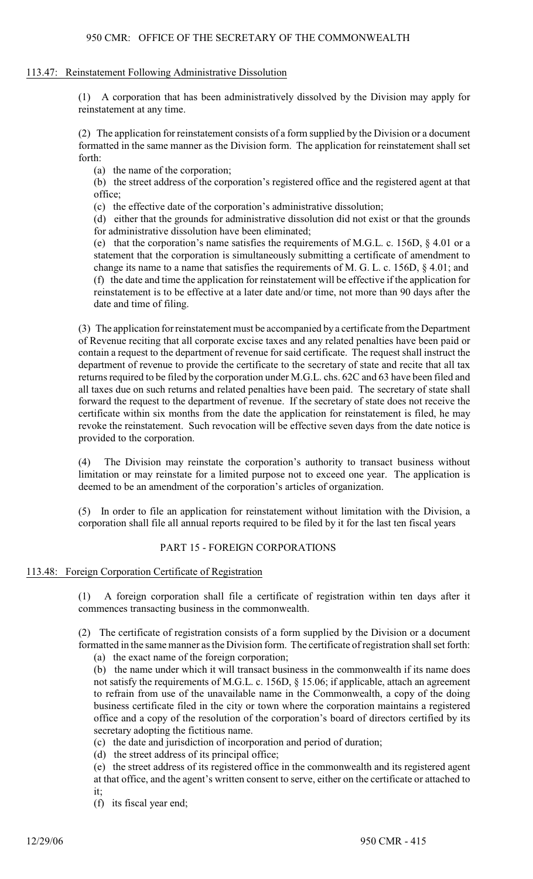#### 113.47: Reinstatement Following Administrative Dissolution

(1) A corporation that has been administratively dissolved by the Division may apply for reinstatement at any time.

(2) The application for reinstatement consists of a form supplied by the Division or a document formatted in the same manner as the Division form. The application for reinstatement shall set forth:

(a) the name of the corporation;

(b) the street address of the corporation's registered office and the registered agent at that office;

(c) the effective date of the corporation's administrative dissolution;

(d) either that the grounds for administrative dissolution did not exist or that the grounds for administrative dissolution have been eliminated;

(e) that the corporation's name satisfies the requirements of M.G.L. c. 156D, § 4.01 or a statement that the corporation is simultaneously submitting a certificate of amendment to change its name to a name that satisfies the requirements of M. G. L. c. 156D, § 4.01; and (f) the date and time the application for reinstatement will be effective if the application for reinstatement is to be effective at a later date and/or time, not more than 90 days after the date and time of filing.

(3) The application for reinstatement must be accompanied by a certificate from the Department of Revenue reciting that all corporate excise taxes and any related penalties have been paid or contain a request to the department of revenue for said certificate. The request shall instruct the department of revenue to provide the certificate to the secretary of state and recite that all tax returns required to be filed by the corporation under M.G.L. chs. 62C and 63 have been filed and all taxes due on such returns and related penalties have been paid. The secretary of state shall forward the request to the department of revenue. If the secretary of state does not receive the certificate within six months from the date the application for reinstatement is filed, he may revoke the reinstatement. Such revocation will be effective seven days from the date notice is provided to the corporation.

(4) The Division may reinstate the corporation's authority to transact business without limitation or may reinstate for a limited purpose not to exceed one year. The application is deemed to be an amendment of the corporation's articles of organization.

(5) In order to file an application for reinstatement without limitation with the Division, a corporation shall file all annual reports required to be filed by it for the last ten fiscal years

## PART 15 - FOREIGN CORPORATIONS

#### 113.48: Foreign Corporation Certificate of Registration

(1) A foreign corporation shall file a certificate of registration within ten days after it commences transacting business in the commonwealth.

(2) The certificate of registration consists of a form supplied by the Division or a document formatted in the same manner as the Division form. The certificate of registration shall set forth:

(a) the exact name of the foreign corporation;

(b) the name under which it will transact business in the commonwealth if its name does not satisfy the requirements of M.G.L. c. 156D, § 15.06; if applicable, attach an agreement to refrain from use of the unavailable name in the Commonwealth, a copy of the doing business certificate filed in the city or town where the corporation maintains a registered office and a copy of the resolution of the corporation's board of directors certified by its secretary adopting the fictitious name.

(c) the date and jurisdiction of incorporation and period of duration;

(d) the street address of its principal office;

(e) the street address of its registered office in the commonwealth and its registered agent at that office, and the agent's written consent to serve, either on the certificate or attached to it;

(f) its fiscal year end;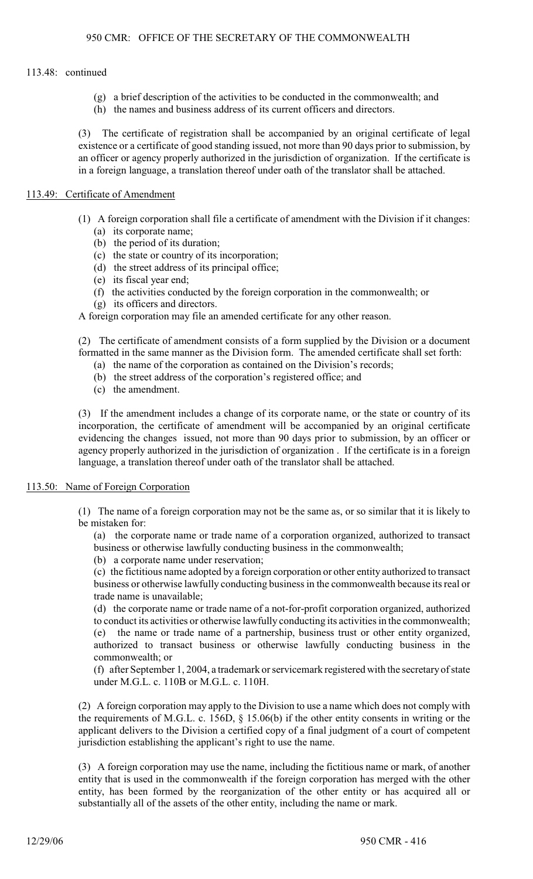## 113.48: continued

- (g) a brief description of the activities to be conducted in the commonwealth; and
- (h) the names and business address of its current officers and directors.

(3) The certificate of registration shall be accompanied by an original certificate of legal existence or a certificate of good standing issued, not more than 90 days prior to submission, by an officer or agency properly authorized in the jurisdiction of organization. If the certificate is in a foreign language, a translation thereof under oath of the translator shall be attached.

## 113.49: Certificate of Amendment

- (1) A foreign corporation shall file a certificate of amendment with the Division if it changes: (a) its corporate name;
	- (b) the period of its duration;
	- (c) the state or country of its incorporation;
	- (d) the street address of its principal office;
	- (e) its fiscal year end;
	- (f) the activities conducted by the foreign corporation in the commonwealth; or
	- (g) its officers and directors.

A foreign corporation may file an amended certificate for any other reason.

(2) The certificate of amendment consists of a form supplied by the Division or a document formatted in the same manner as the Division form. The amended certificate shall set forth:

- (a) the name of the corporation as contained on the Division's records;
- (b) the street address of the corporation's registered office; and
- (c) the amendment.

(3) If the amendment includes a change of its corporate name, or the state or country of its incorporation, the certificate of amendment will be accompanied by an original certificate evidencing the changes issued, not more than 90 days prior to submission, by an officer or agency properly authorized in the jurisdiction of organization . If the certificate is in a foreign language, a translation thereof under oath of the translator shall be attached.

## 113.50: Name of Foreign Corporation

(1) The name of a foreign corporation may not be the same as, or so similar that it is likely to be mistaken for:

(a) the corporate name or trade name of a corporation organized, authorized to transact business or otherwise lawfully conducting business in the commonwealth;

(b) a corporate name under reservation;

(c) the fictitious name adopted by a foreign corporation or other entity authorized to transact business or otherwise lawfully conducting business in the commonwealth because its real or trade name is unavailable;

(d) the corporate name or trade name of a not-for-profit corporation organized, authorized to conduct its activities or otherwise lawfully conducting its activities in the commonwealth; (e) the name or trade name of a partnership, business trust or other entity organized, authorized to transact business or otherwise lawfully conducting business in the commonwealth; or

(f) after September 1, 2004, a trademark or servicemark registered with the secretary of state under M.G.L. c. 110B or M.G.L. c. 110H.

(2) A foreign corporation may apply to the Division to use a name which does not comply with the requirements of M.G.L. c. 156D, § 15.06(b) if the other entity consents in writing or the applicant delivers to the Division a certified copy of a final judgment of a court of competent jurisdiction establishing the applicant's right to use the name.

(3) A foreign corporation may use the name, including the fictitious name or mark, of another entity that is used in the commonwealth if the foreign corporation has merged with the other entity, has been formed by the reorganization of the other entity or has acquired all or substantially all of the assets of the other entity, including the name or mark.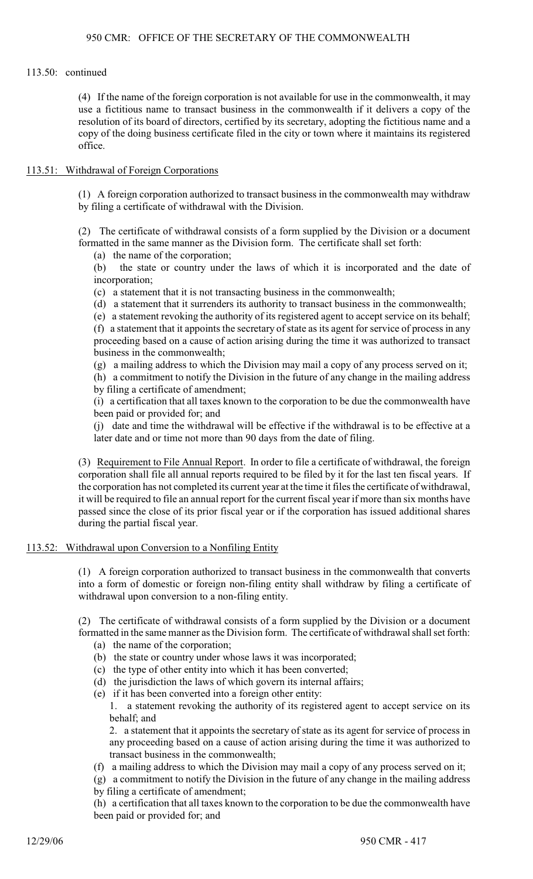## 113.50: continued

(4) If the name of the foreign corporation is not available for use in the commonwealth, it may use a fictitious name to transact business in the commonwealth if it delivers a copy of the resolution of its board of directors, certified by its secretary, adopting the fictitious name and a copy of the doing business certificate filed in the city or town where it maintains its registered office.

## 113.51: Withdrawal of Foreign Corporations

(1) A foreign corporation authorized to transact business in the commonwealth may withdraw by filing a certificate of withdrawal with the Division.

(2) The certificate of withdrawal consists of a form supplied by the Division or a document formatted in the same manner as the Division form. The certificate shall set forth:

(a) the name of the corporation;

(b) the state or country under the laws of which it is incorporated and the date of incorporation;

(c) a statement that it is not transacting business in the commonwealth;

(d) a statement that it surrenders its authority to transact business in the commonwealth;

(e) a statement revoking the authority of its registered agent to accept service on its behalf;

(f) a statement that it appoints the secretary of state as its agent for service of process in any proceeding based on a cause of action arising during the time it was authorized to transact business in the commonwealth;

(g) a mailing address to which the Division may mail a copy of any process served on it;

(h) a commitment to notify the Division in the future of any change in the mailing address by filing a certificate of amendment;

(i) a certification that all taxes known to the corporation to be due the commonwealth have been paid or provided for; and

(j) date and time the withdrawal will be effective if the withdrawal is to be effective at a later date and or time not more than 90 days from the date of filing.

(3) Requirement to File Annual Report. In order to file a certificate of withdrawal, the foreign corporation shall file all annual reports required to be filed by it for the last ten fiscal years. If the corporation has not completed its current year at the time it files the certificate of withdrawal, it will be required to file an annual report for the current fiscal year if more than six months have passed since the close of its prior fiscal year or if the corporation has issued additional shares during the partial fiscal year.

## 113.52: Withdrawal upon Conversion to a Nonfiling Entity

(1) A foreign corporation authorized to transact business in the commonwealth that converts into a form of domestic or foreign non-filing entity shall withdraw by filing a certificate of withdrawal upon conversion to a non-filing entity.

(2) The certificate of withdrawal consists of a form supplied by the Division or a document formatted in the same manner as the Division form. The certificate of withdrawal shall set forth:

- (a) the name of the corporation;
- (b) the state or country under whose laws it was incorporated;
- (c) the type of other entity into which it has been converted;
- (d) the jurisdiction the laws of which govern its internal affairs;
- (e) if it has been converted into a foreign other entity:

1. a statement revoking the authority of its registered agent to accept service on its behalf; and

2. a statement that it appoints the secretary of state as its agent for service of process in any proceeding based on a cause of action arising during the time it was authorized to transact business in the commonwealth;

(f) a mailing address to which the Division may mail a copy of any process served on it;

(g) a commitment to notify the Division in the future of any change in the mailing address

by filing a certificate of amendment;

(h) a certification that all taxes known to the corporation to be due the commonwealth have been paid or provided for; and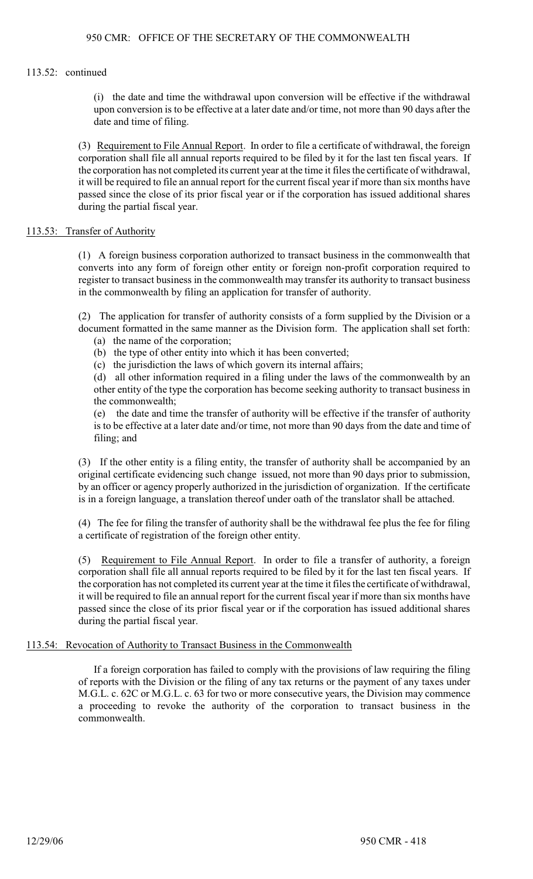#### 113.52: continued

(i) the date and time the withdrawal upon conversion will be effective if the withdrawal upon conversion is to be effective at a later date and/or time, not more than 90 days after the date and time of filing.

(3) Requirement to File Annual Report. In order to file a certificate of withdrawal, the foreign corporation shall file all annual reports required to be filed by it for the last ten fiscal years. If the corporation has not completed its current year at the time it files the certificate of withdrawal, it will be required to file an annual report for the current fiscal year if more than six months have passed since the close of its prior fiscal year or if the corporation has issued additional shares during the partial fiscal year.

## 113.53: Transfer of Authority

(1) A foreign business corporation authorized to transact business in the commonwealth that converts into any form of foreign other entity or foreign non-profit corporation required to register to transact business in the commonwealth may transfer its authority to transact business in the commonwealth by filing an application for transfer of authority.

(2) The application for transfer of authority consists of a form supplied by the Division or a document formatted in the same manner as the Division form. The application shall set forth:

- (a) the name of the corporation;
- (b) the type of other entity into which it has been converted;
- (c) the jurisdiction the laws of which govern its internal affairs;

(d) all other information required in a filing under the laws of the commonwealth by an other entity of the type the corporation has become seeking authority to transact business in the commonwealth;

(e) the date and time the transfer of authority will be effective if the transfer of authority is to be effective at a later date and/or time, not more than 90 days from the date and time of filing; and

(3) If the other entity is a filing entity, the transfer of authority shall be accompanied by an original certificate evidencing such change issued, not more than 90 days prior to submission, by an officer or agency properly authorized in the jurisdiction of organization. If the certificate is in a foreign language, a translation thereof under oath of the translator shall be attached.

(4) The fee for filing the transfer of authority shall be the withdrawal fee plus the fee for filing a certificate of registration of the foreign other entity.

(5) Requirement to File Annual Report. In order to file a transfer of authority, a foreign corporation shall file all annual reports required to be filed by it for the last ten fiscal years. If the corporation has not completed its current year at the time it files the certificate of withdrawal, it will be required to file an annual report for the current fiscal year if more than six months have passed since the close of its prior fiscal year or if the corporation has issued additional shares during the partial fiscal year.

## 113.54: Revocation of Authority to Transact Business in the Commonwealth

If a foreign corporation has failed to comply with the provisions of law requiring the filing of reports with the Division or the filing of any tax returns or the payment of any taxes under M.G.L. c. 62C or M.G.L. c. 63 for two or more consecutive years, the Division may commence a proceeding to revoke the authority of the corporation to transact business in the commonwealth.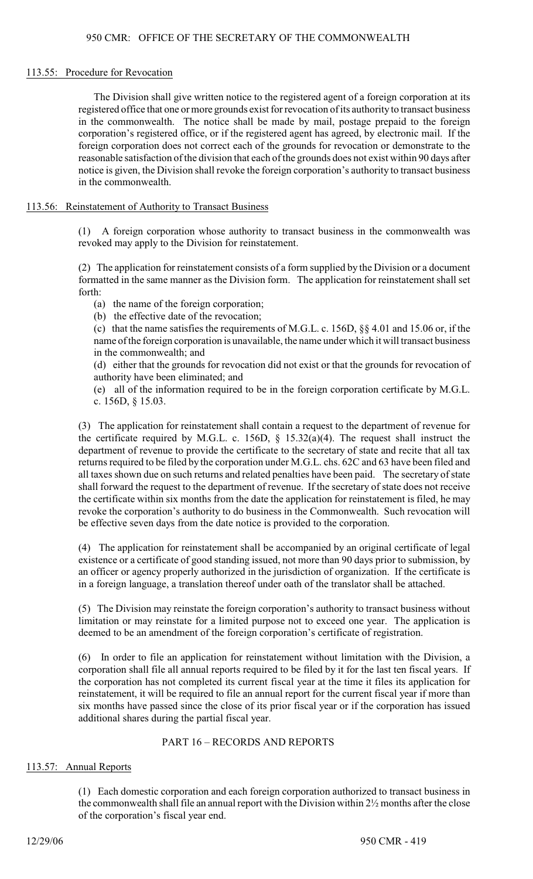#### 113.55: Procedure for Revocation

The Division shall give written notice to the registered agent of a foreign corporation at its registered office that one ormore grounds exist for revocation ofits authority to transact business in the commonwealth. The notice shall be made by mail, postage prepaid to the foreign corporation's registered office, or if the registered agent has agreed, by electronic mail. If the foreign corporation does not correct each of the grounds for revocation or demonstrate to the reasonable satisfaction of the division that each of the grounds does not exist within 90 days after notice is given, the Division shall revoke the foreign corporation's authority to transact business in the commonwealth.

## 113.56: Reinstatement of Authority to Transact Business

(1) A foreign corporation whose authority to transact business in the commonwealth was revoked may apply to the Division for reinstatement.

(2) The application for reinstatement consists of a form supplied by the Division or a document formatted in the same manner as the Division form. The application for reinstatement shall set forth:

(a) the name of the foreign corporation;

(b) the effective date of the revocation;

(c) that the name satisfies the requirements of M.G.L. c. 156D, §§ 4.01 and 15.06 or, if the name of the foreign corporation is unavailable, the name under which it will transact business in the commonwealth; and

(d) either that the grounds for revocation did not exist or that the grounds for revocation of authority have been eliminated; and

(e) all of the information required to be in the foreign corporation certificate by M.G.L. c. 156D, § 15.03.

(3) The application for reinstatement shall contain a request to the department of revenue for the certificate required by M.G.L. c. 156D,  $\S$  15.32(a)(4). The request shall instruct the department of revenue to provide the certificate to the secretary of state and recite that all tax returns required to be filed by the corporation under M.G.L. chs. 62C and 63 have been filed and all taxes shown due on such returns and related penalties have been paid. The secretary of state shall forward the request to the department of revenue. If the secretary of state does not receive the certificate within six months from the date the application for reinstatement is filed, he may revoke the corporation's authority to do business in the Commonwealth. Such revocation will be effective seven days from the date notice is provided to the corporation.

(4) The application for reinstatement shall be accompanied by an original certificate of legal existence or a certificate of good standing issued, not more than 90 days prior to submission, by an officer or agency properly authorized in the jurisdiction of organization. If the certificate is in a foreign language, a translation thereof under oath of the translator shall be attached.

(5) The Division may reinstate the foreign corporation's authority to transact business without limitation or may reinstate for a limited purpose not to exceed one year. The application is deemed to be an amendment of the foreign corporation's certificate of registration.

(6) In order to file an application for reinstatement without limitation with the Division, a corporation shall file all annual reports required to be filed by it for the last ten fiscal years. If the corporation has not completed its current fiscal year at the time it files its application for reinstatement, it will be required to file an annual report for the current fiscal year if more than six months have passed since the close of its prior fiscal year or if the corporation has issued additional shares during the partial fiscal year.

## PART 16 – RECORDS AND REPORTS

## 113.57: Annual Reports

(1) Each domestic corporation and each foreign corporation authorized to transact business in the commonwealth shall file an annual report with the Division within 2½ months after the close of the corporation's fiscal year end.